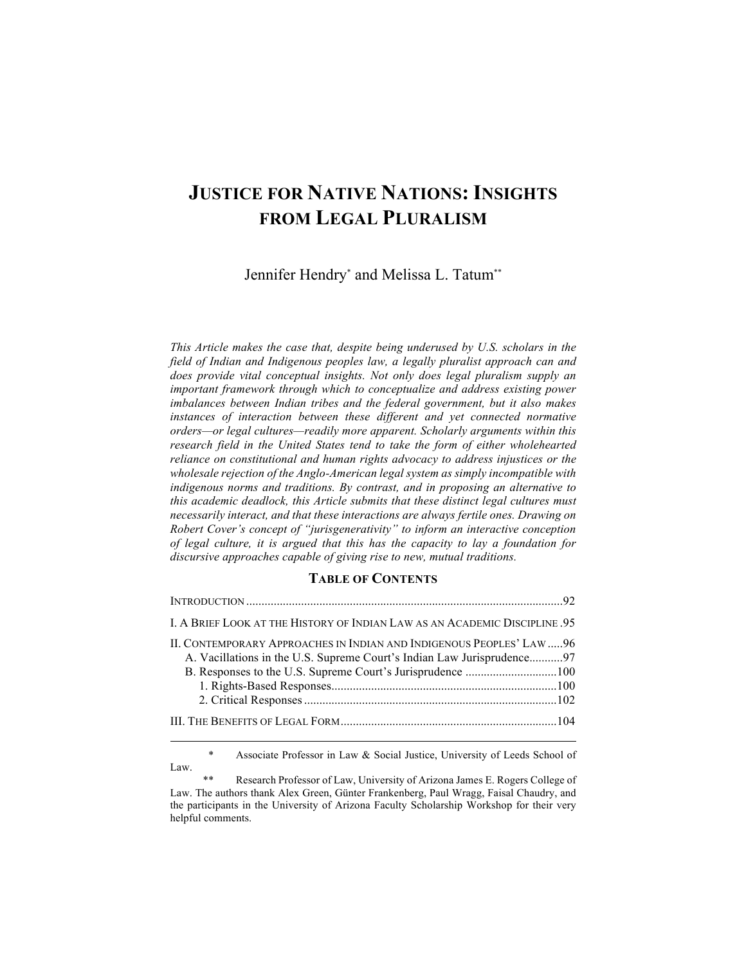# **JUSTICE FOR NATIVE NATIONS: INSIGHTS FROM LEGAL PLURALISM**

Jennifer Hendry\* and Melissa L. Tatum\*\*

*This Article makes the case that, despite being underused by U.S. scholars in the*  field of Indian and Indigenous peoples law, a legally pluralist approach can and *does provide vital conceptual insights. Not only does legal pluralism supply an important framework through which to conceptualize and address existing power imbalances between Indian tribes and the federal government, but it also makes instances of interaction between these different and yet connected normative orders—or legal cultures—readily more apparent. Scholarly arguments within this research field in the United States tend to take the form of either wholehearted reliance on constitutional and human rights advocacy to address injustices or the wholesale rejection of the Anglo-American legal system as simply incompatible with indigenous norms and traditions. By contrast, and in proposing an alternative to this academic deadlock, this Article submits that these distinct legal cultures must necessarily interact, and that these interactions are always fertile ones. Drawing on Robert Cover's concept of "jurisgenerativity" to inform an interactive conception of legal culture, it is argued that this has the capacity to lay a foundation for discursive approaches capable of giving rise to new, mutual traditions.*

### **TABLE OF CONTENTS**

| I. A BRIEF LOOK AT THE HISTORY OF INDIAN LAW AS AN ACADEMIC DISCIPLINE .95                                                                     |  |
|------------------------------------------------------------------------------------------------------------------------------------------------|--|
| II. CONTEMPORARY APPROACHES IN INDIAN AND INDIGENOUS PEOPLES' LAW 96<br>A. Vacillations in the U.S. Supreme Court's Indian Law Jurisprudence97 |  |
|                                                                                                                                                |  |

 \* Associate Professor in Law & Social Justice, University of Leeds School of Law.

<sup>\*\*</sup> Research Professor of Law, University of Arizona James E. Rogers College of Law. The authors thank Alex Green, Günter Frankenberg, Paul Wragg, Faisal Chaudry, and the participants in the University of Arizona Faculty Scholarship Workshop for their very helpful comments.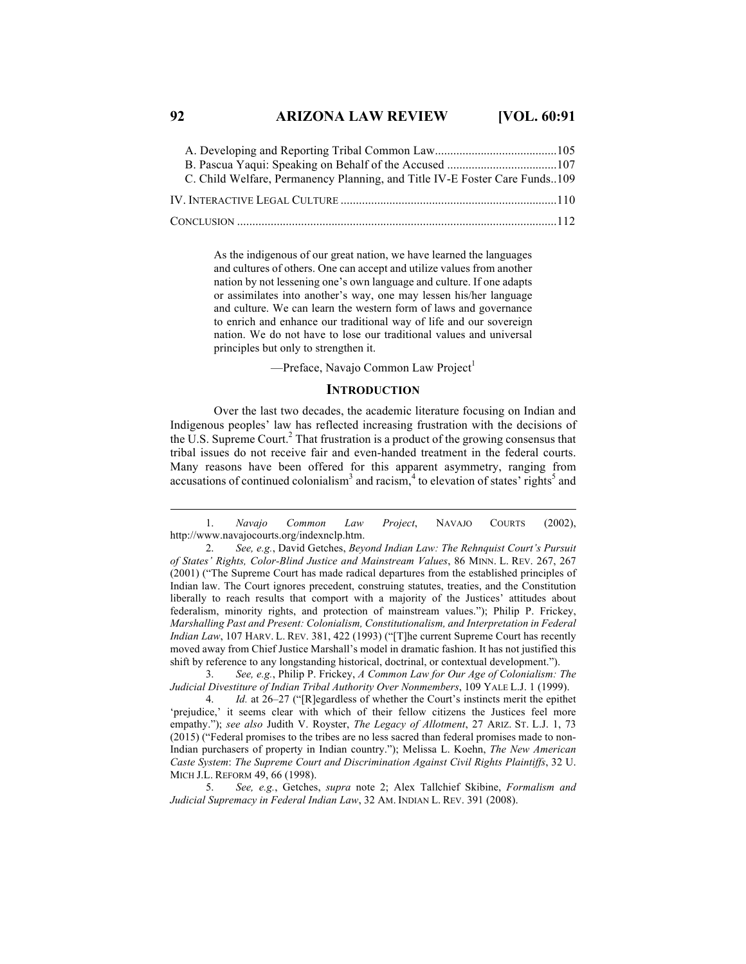# **92 ARIZONA LAW REVIEW [VOL. 60:91**

| C. Child Welfare, Permanency Planning, and Title IV-E Foster Care Funds109 |  |
|----------------------------------------------------------------------------|--|
|                                                                            |  |
|                                                                            |  |

As the indigenous of our great nation, we have learned the languages and cultures of others. One can accept and utilize values from another nation by not lessening one's own language and culture. If one adapts or assimilates into another's way, one may lessen his/her language and culture. We can learn the western form of laws and governance to enrich and enhance our traditional way of life and our sovereign nation. We do not have to lose our traditional values and universal principles but only to strengthen it.

—Preface, Navajo Common Law Project<sup>1</sup>

#### **INTRODUCTION**

Over the last two decades, the academic literature focusing on Indian and Indigenous peoples' law has reflected increasing frustration with the decisions of the U.S. Supreme Court. $<sup>2</sup>$  That frustration is a product of the growing consensus that</sup> tribal issues do not receive fair and even-handed treatment in the federal courts. Many reasons have been offered for this apparent asymmetry, ranging from accusations of continued colonialism<sup>3</sup> and racism,<sup>4</sup> to elevation of states' rights<sup>5</sup> and

3. *See, e.g.*, Philip P. Frickey, *A Common Law for Our Age of Colonialism: The Judicial Divestiture of Indian Tribal Authority Over Nonmembers*, 109 YALE L.J. 1 (1999).

5. *See, e.g.*, Getches, *supra* note 2; Alex Tallchief Skibine, *Formalism and Judicial Supremacy in Federal Indian Law*, 32 AM. INDIAN L. REV. 391 (2008).

 <sup>1.</sup> *Navajo Common Law Project*, NAVAJO COURTS (2002), http://www.navajocourts.org/indexnclp.htm.

<sup>2.</sup> *See, e.g.*, David Getches, *Beyond Indian Law: The Rehnquist Court's Pursuit of States' Rights, Color-Blind Justice and Mainstream Values*, 86 MINN. L. REV. 267, 267 (2001) ("The Supreme Court has made radical departures from the established principles of Indian law. The Court ignores precedent, construing statutes, treaties, and the Constitution liberally to reach results that comport with a majority of the Justices' attitudes about federalism, minority rights, and protection of mainstream values."); Philip P. Frickey, *Marshalling Past and Present: Colonialism, Constitutionalism, and Interpretation in Federal Indian Law*, 107 HARV. L. REV. 381, 422 (1993) ("[T]he current Supreme Court has recently moved away from Chief Justice Marshall's model in dramatic fashion. It has not justified this shift by reference to any longstanding historical, doctrinal, or contextual development.").

<sup>4.</sup> *Id.* at 26–27 ("[R]egardless of whether the Court's instincts merit the epithet 'prejudice,' it seems clear with which of their fellow citizens the Justices feel more empathy."); *see also* Judith V. Royster, *The Legacy of Allotment*, 27 ARIZ. ST. L.J. 1, 73 (2015) ("Federal promises to the tribes are no less sacred than federal promises made to non-Indian purchasers of property in Indian country."); Melissa L. Koehn, *The New American Caste System*: *The Supreme Court and Discrimination Against Civil Rights Plaintiffs*, 32 U. MICH J.L. REFORM 49, 66 (1998).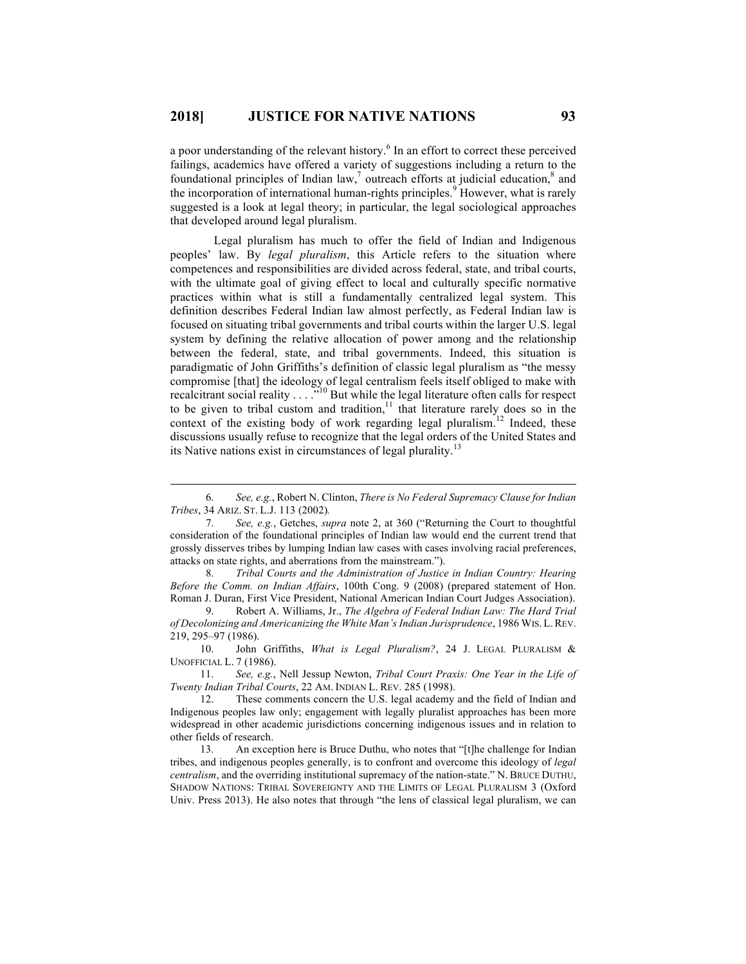a poor understanding of the relevant history.<sup>6</sup> In an effort to correct these perceived failings, academics have offered a variety of suggestions including a return to the foundational principles of Indian law,<sup>7</sup> outreach efforts at judicial education, $^8$  and the incorporation of international human-rights principles.<sup>9</sup> However, what is rarely suggested is a look at legal theory; in particular, the legal sociological approaches that developed around legal pluralism.

Legal pluralism has much to offer the field of Indian and Indigenous peoples' law. By *legal pluralism*, this Article refers to the situation where competences and responsibilities are divided across federal, state, and tribal courts, with the ultimate goal of giving effect to local and culturally specific normative practices within what is still a fundamentally centralized legal system. This definition describes Federal Indian law almost perfectly, as Federal Indian law is focused on situating tribal governments and tribal courts within the larger U.S. legal system by defining the relative allocation of power among and the relationship between the federal, state, and tribal governments. Indeed, this situation is paradigmatic of John Griffiths's definition of classic legal pluralism as "the messy compromise [that] the ideology of legal centralism feels itself obliged to make with recalcitrant social reality  $\ldots$  ..."<sup>10</sup> But while the legal literature often calls for respect to be given to tribal custom and tradition, $11$  that literature rarely does so in the context of the existing body of work regarding legal pluralism.<sup>12</sup> Indeed, these discussions usually refuse to recognize that the legal orders of the United States and its Native nations exist in circumstances of legal plurality.<sup>13</sup>

11. *See, e.g.*, Nell Jessup Newton, *Tribal Court Praxis: One Year in the Life of Twenty Indian Tribal Courts*, 22 AM. INDIAN L. REV. 285 (1998).

 <sup>6.</sup> *See, e.g.*, Robert N. Clinton, *There is No Federal Supremacy Clause for Indian Tribes*, 34 ARIZ. ST. L.J. 113 (2002)*.*

<sup>7.</sup> *See, e.g.*, Getches, *supra* note 2, at 360 ("Returning the Court to thoughtful consideration of the foundational principles of Indian law would end the current trend that grossly disserves tribes by lumping Indian law cases with cases involving racial preferences, attacks on state rights, and aberrations from the mainstream.").

<sup>8.</sup> *Tribal Courts and the Administration of Justice in Indian Country: Hearing Before the Comm. on Indian Affairs*, 100th Cong. 9 (2008) (prepared statement of Hon. Roman J. Duran, First Vice President, National American Indian Court Judges Association).

<sup>9.</sup> Robert A. Williams, Jr., *The Algebra of Federal Indian Law: The Hard Trial of Decolonizing and Americanizing the White Man's Indian Jurisprudence*, 1986 WIS. L.REV. 219, 295–97 (1986).

<sup>10.</sup> John Griffiths, *What is Legal Pluralism?*, 24 J. LEGAL PLURALISM & UNOFFICIAL L. 7 (1986).

<sup>12.</sup> These comments concern the U.S. legal academy and the field of Indian and Indigenous peoples law only; engagement with legally pluralist approaches has been more widespread in other academic jurisdictions concerning indigenous issues and in relation to other fields of research.

<sup>13.</sup> An exception here is Bruce Duthu, who notes that "[t]he challenge for Indian tribes, and indigenous peoples generally, is to confront and overcome this ideology of *legal centralism*, and the overriding institutional supremacy of the nation-state." N. BRUCE DUTHU, SHADOW NATIONS: TRIBAL SOVEREIGNTY AND THE LIMITS OF LEGAL PLURALISM 3 (Oxford Univ. Press 2013). He also notes that through "the lens of classical legal pluralism, we can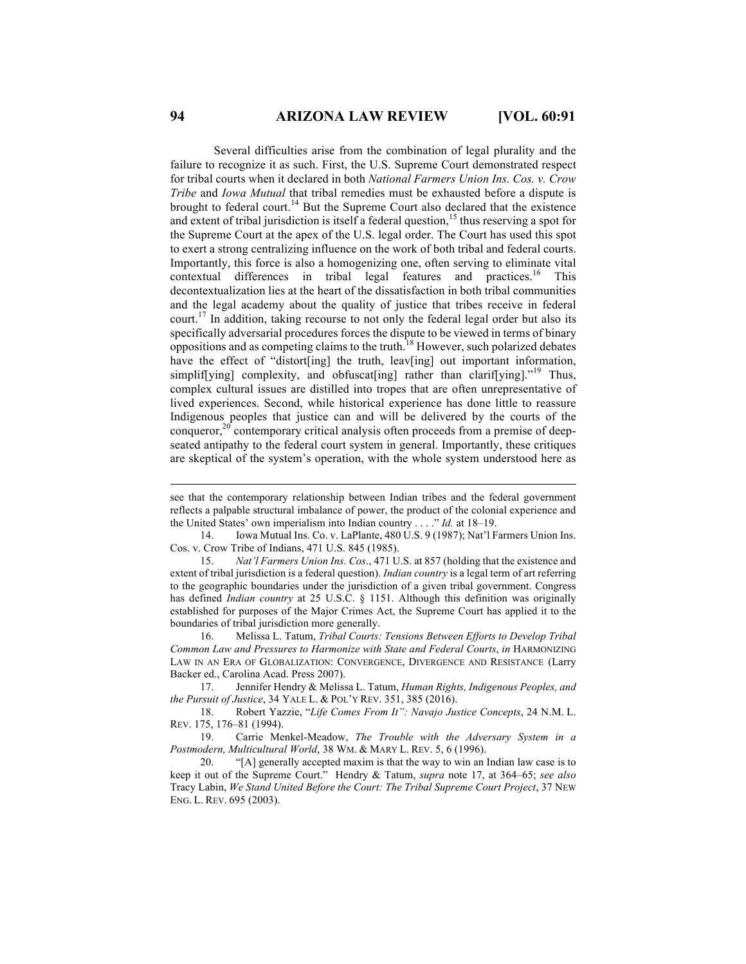Several difficulties arise from the combination of legal plurality and the failure to recognize it as such. First, the U.S. Supreme Court demonstrated respect for tribal courts when it declared in both *National Farmers Union Ins. Cos. v. Crow Tribe* and *Iowa Mutual* that tribal remedies must be exhausted before a dispute is brought to federal court.<sup>14</sup> But the Supreme Court also declared that the existence and extent of tribal jurisdiction is itself a federal question,<sup>15</sup> thus reserving a spot for the Supreme Court at the apex of the U.S. legal order. The Court has used this spot to exert a strong centralizing influence on the work of both tribal and federal courts. Importantly, this force is also a homogenizing one, often serving to eliminate vital contextual differences in tribal legal features and practices.<sup>16</sup> This decontextualization lies at the heart of the dissatisfaction in both tribal communities and the legal academy about the quality of justice that tribes receive in federal court.<sup>17</sup> In addition, taking recourse to not only the federal legal order but also its specifically adversarial procedures forces the dispute to be viewed in terms of binary oppositions and as competing claims to the truth.<sup>18</sup> However, such polarized debates have the effect of "distort[ing] the truth, leav[ing] out important information, simplif[ying] complexity, and obfuscat[ing] rather than clarif[ying]."<sup>19</sup> Thus, complex cultural issues are distilled into tropes that are often unrepresentative of lived experiences. Second, while historical experience has done little to reassure Indigenous peoples that justice can and will be delivered by the courts of the conqueror,<sup>20</sup> contemporary critical analysis often proceeds from a premise of deepseated antipathy to the federal court system in general. Importantly, these critiques are skeptical of the system's operation, with the whole system understood here as

14. Iowa Mutual Ins. Co. v. LaPlante, 480 U.S. 9 (1987); Nat'l Farmers Union Ins. Cos. v. Crow Tribe of Indians, 471 U.S. 845 (1985).

15. *Nat'l Farmers Union Ins. Cos*., 471 U.S. at 857 (holding that the existence and extent of tribal jurisdiction is a federal question). *Indian country* is a legal term of art referring to the geographic boundaries under the jurisdiction of a given tribal government. Congress has defined *Indian country* at 25 U.S.C. § 1151. Although this definition was originally established for purposes of the Major Crimes Act, the Supreme Court has applied it to the boundaries of tribal jurisdiction more generally.

16. Melissa L. Tatum, *Tribal Courts: Tensions Between Efforts to Develop Tribal Common Law and Pressures to Harmonize with State and Federal Courts*, *in* HARMONIZING LAW IN AN ERA OF GLOBALIZATION: CONVERGENCE, DIVERGENCE AND RESISTANCE (Larry Backer ed., Carolina Acad. Press 2007).

17. Jennifer Hendry & Melissa L. Tatum, *Human Rights, Indigenous Peoples, and the Pursuit of Justice*, 34 YALE L. & POL'Y REV. 351, 385 (2016).

18. Robert Yazzie, "*Life Comes From It": Navajo Justice Concepts*, 24 N.M. L. REV. 175, 176–81 (1994).

19. Carrie Menkel-Meadow, *The Trouble with the Adversary System in a Postmodern, Multicultural World*, 38 WM. & MARY L. REV. 5, 6 (1996).

20. "[A] generally accepted maxim is that the way to win an Indian law case is to keep it out of the Supreme Court." Hendry & Tatum, *supra* note 17, at 364–65; *see also* Tracy Labin, *We Stand United Before the Court: The Tribal Supreme Court Project*, 37 NEW ENG. L. REV. 695 (2003).

see that the contemporary relationship between Indian tribes and the federal government reflects a palpable structural imbalance of power, the product of the colonial experience and the United States' own imperialism into Indian country . . . ." *Id.* at 18–19.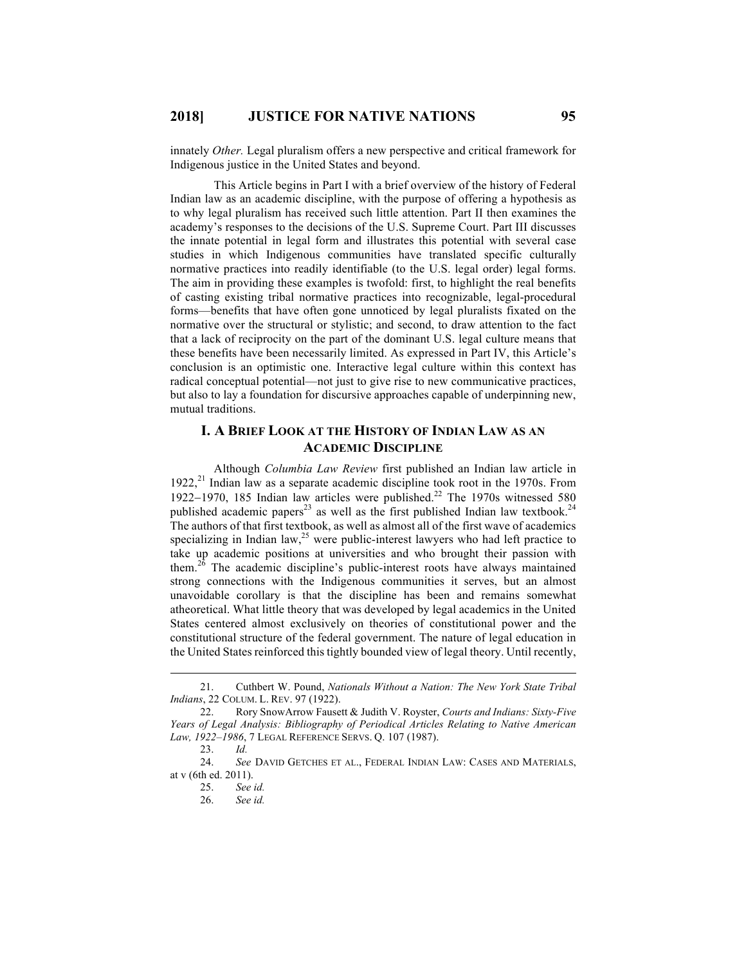innately *Other.* Legal pluralism offers a new perspective and critical framework for Indigenous justice in the United States and beyond.

This Article begins in Part I with a brief overview of the history of Federal Indian law as an academic discipline, with the purpose of offering a hypothesis as to why legal pluralism has received such little attention. Part II then examines the academy's responses to the decisions of the U.S. Supreme Court. Part III discusses the innate potential in legal form and illustrates this potential with several case studies in which Indigenous communities have translated specific culturally normative practices into readily identifiable (to the U.S. legal order) legal forms. The aim in providing these examples is twofold: first, to highlight the real benefits of casting existing tribal normative practices into recognizable, legal-procedural forms—benefits that have often gone unnoticed by legal pluralists fixated on the normative over the structural or stylistic; and second, to draw attention to the fact that a lack of reciprocity on the part of the dominant U.S. legal culture means that these benefits have been necessarily limited. As expressed in Part IV, this Article's conclusion is an optimistic one. Interactive legal culture within this context has radical conceptual potential—not just to give rise to new communicative practices, but also to lay a foundation for discursive approaches capable of underpinning new, mutual traditions.

# **I. A BRIEF LOOK AT THE HISTORY OF INDIAN LAW AS AN ACADEMIC DISCIPLINE**

Although *Columbia Law Review* first published an Indian law article in 1922,<sup>21</sup> Indian law as a separate academic discipline took root in the 1970s. From 1922-1970, 185 Indian law articles were published.<sup>22</sup> The 1970s witnessed 580 published academic papers<sup>23</sup> as well as the first published Indian law textbook.<sup>24</sup> The authors of that first textbook, as well as almost all of the first wave of academics specializing in Indian law, $2<sup>5</sup>$  were public-interest lawyers who had left practice to take up academic positions at universities and who brought their passion with them.<sup>26</sup> The academic discipline's public-interest roots have always maintained strong connections with the Indigenous communities it serves, but an almost unavoidable corollary is that the discipline has been and remains somewhat atheoretical. What little theory that was developed by legal academics in the United States centered almost exclusively on theories of constitutional power and the constitutional structure of the federal government. The nature of legal education in the United States reinforced this tightly bounded view of legal theory. Until recently,

 <sup>21.</sup> Cuthbert W. Pound, *Nationals Without a Nation: The New York State Tribal Indians*, 22 COLUM. L. REV. 97 (1922).

<sup>22.</sup> Rory SnowArrow Fausett & Judith V. Royster, *Courts and Indians: Sixty-Five Years of Legal Analysis: Bibliography of Periodical Articles Relating to Native American Law, 1922–1986*, 7 LEGAL REFERENCE SERVS. Q. 107 (1987).

<sup>23.</sup> *Id.*

<sup>24.</sup> *See* DAVID GETCHES ET AL., FEDERAL INDIAN LAW: CASES AND MATERIALS, at v (6th ed. 2011).

<sup>25.</sup> *See id.*

<sup>26.</sup> *See id.*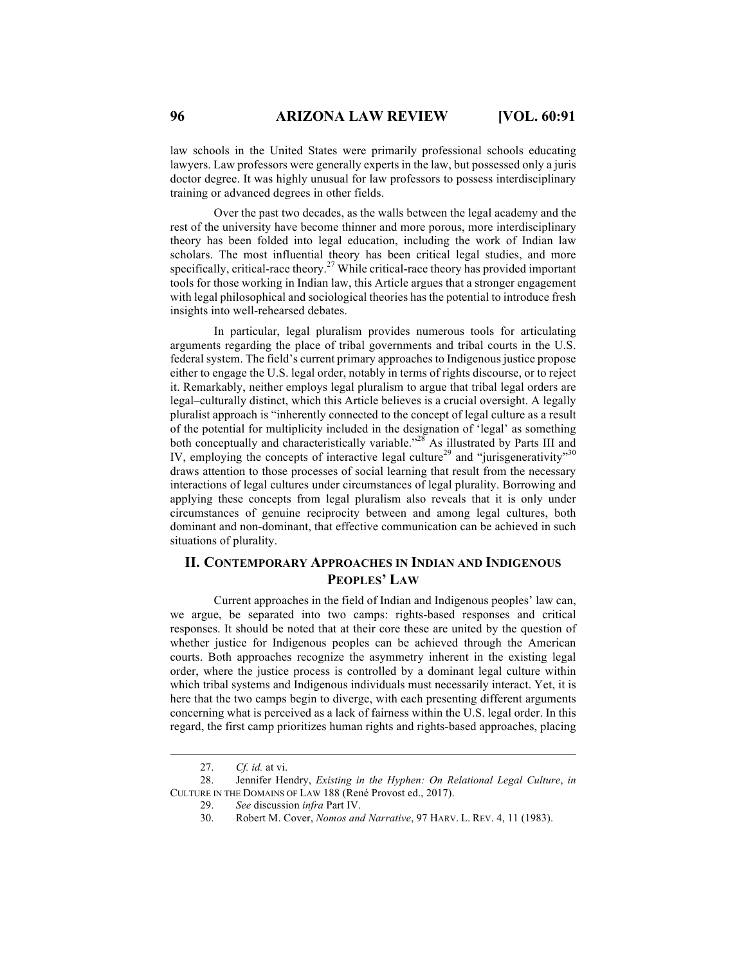law schools in the United States were primarily professional schools educating lawyers. Law professors were generally experts in the law, but possessed only a juris doctor degree. It was highly unusual for law professors to possess interdisciplinary training or advanced degrees in other fields.

Over the past two decades, as the walls between the legal academy and the rest of the university have become thinner and more porous, more interdisciplinary theory has been folded into legal education, including the work of Indian law scholars. The most influential theory has been critical legal studies, and more specifically, critical-race theory.<sup>27</sup> While critical-race theory has provided important tools for those working in Indian law, this Article argues that a stronger engagement with legal philosophical and sociological theories has the potential to introduce fresh insights into well-rehearsed debates.

In particular, legal pluralism provides numerous tools for articulating arguments regarding the place of tribal governments and tribal courts in the U.S. federal system. The field's current primary approaches to Indigenous justice propose either to engage the U.S. legal order, notably in terms of rights discourse, or to reject it. Remarkably, neither employs legal pluralism to argue that tribal legal orders are legal–culturally distinct, which this Article believes is a crucial oversight. A legally pluralist approach is "inherently connected to the concept of legal culture as a result of the potential for multiplicity included in the designation of 'legal' as something both conceptually and characteristically variable."<sup>28</sup> As illustrated by Parts III and IV, employing the concepts of interactive legal culture<sup>29</sup> and "jurisgenerativity"<sup>30</sup> draws attention to those processes of social learning that result from the necessary interactions of legal cultures under circumstances of legal plurality. Borrowing and applying these concepts from legal pluralism also reveals that it is only under circumstances of genuine reciprocity between and among legal cultures, both dominant and non-dominant, that effective communication can be achieved in such situations of plurality.

# **II. CONTEMPORARY APPROACHES IN INDIAN AND INDIGENOUS PEOPLES' LAW**

Current approaches in the field of Indian and Indigenous peoples' law can, we argue, be separated into two camps: rights-based responses and critical responses. It should be noted that at their core these are united by the question of whether justice for Indigenous peoples can be achieved through the American courts. Both approaches recognize the asymmetry inherent in the existing legal order, where the justice process is controlled by a dominant legal culture within which tribal systems and Indigenous individuals must necessarily interact. Yet, it is here that the two camps begin to diverge, with each presenting different arguments concerning what is perceived as a lack of fairness within the U.S. legal order. In this regard, the first camp prioritizes human rights and rights-based approaches, placing

 <sup>27.</sup> *Cf. id.* at vi.

<sup>28.</sup> Jennifer Hendry, *Existing in the Hyphen: On Relational Legal Culture*, *in* CULTURE IN THE DOMAINS OF LAW 188 (René Provost ed., 2017).

<sup>29.</sup> *See* discussion *infra* Part IV.

<sup>30.</sup> Robert M. Cover, *Nomos and Narrative*, 97 HARV. L. REV. 4, 11 (1983).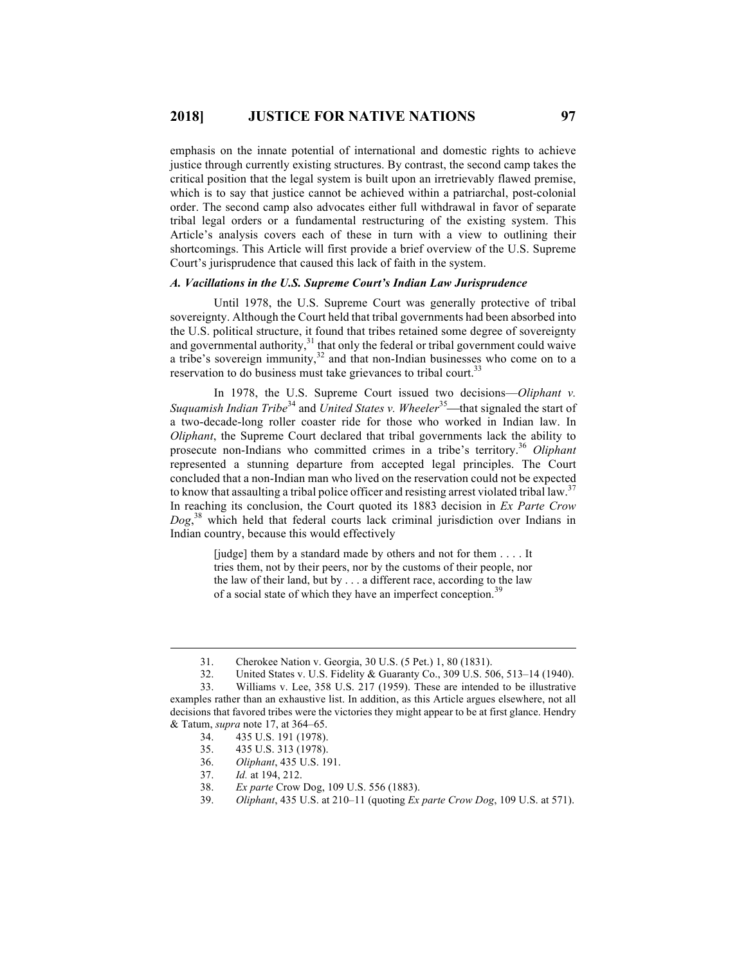emphasis on the innate potential of international and domestic rights to achieve justice through currently existing structures. By contrast, the second camp takes the critical position that the legal system is built upon an irretrievably flawed premise, which is to say that justice cannot be achieved within a patriarchal, post-colonial order. The second camp also advocates either full withdrawal in favor of separate tribal legal orders or a fundamental restructuring of the existing system. This Article's analysis covers each of these in turn with a view to outlining their shortcomings. This Article will first provide a brief overview of the U.S. Supreme Court's jurisprudence that caused this lack of faith in the system.

#### *A. Vacillations in the U.S. Supreme Court's Indian Law Jurisprudence*

Until 1978, the U.S. Supreme Court was generally protective of tribal sovereignty. Although the Court held that tribal governments had been absorbed into the U.S. political structure, it found that tribes retained some degree of sovereignty and governmental authority, $31$  that only the federal or tribal government could waive a tribe's sovereign immunity,  $32$  and that non-Indian businesses who come on to a reservation to do business must take grievances to tribal court.<sup>3</sup>

In 1978, the U.S. Supreme Court issued two decisions—*Oliphant v. Suquamish Indian Tribe*<sup>34</sup> and *United States v. Wheeler*<sup>35</sup>—that signaled the start of a two-decade-long roller coaster ride for those who worked in Indian law. In *Oliphant*, the Supreme Court declared that tribal governments lack the ability to prosecute non-Indians who committed crimes in a tribe's territory.<sup>36</sup> Oliphant represented a stunning departure from accepted legal principles. The Court concluded that a non-Indian man who lived on the reservation could not be expected to know that assaulting a tribal police officer and resisting arrest violated tribal law.<sup>37</sup> In reaching its conclusion, the Court quoted its 1883 decision in *Ex Parte Crow Dog*, <sup>38</sup> which held that federal courts lack criminal jurisdiction over Indians in Indian country, because this would effectively

> [judge] them by a standard made by others and not for them . . . . It tries them, not by their peers, nor by the customs of their people, nor the law of their land, but by . . . a different race, according to the law of a social state of which they have an imperfect conception.<sup>39</sup>

37. *Id.* at 194, 212.

 <sup>31.</sup> Cherokee Nation v. Georgia, 30 U.S. (5 Pet.) 1, 80 (1831).

<sup>32.</sup> United States v. U.S. Fidelity & Guaranty Co., 309 U.S. 506, 513–14 (1940).

<sup>33.</sup> Williams v. Lee, 358 U.S. 217 (1959). These are intended to be illustrative examples rather than an exhaustive list. In addition, as this Article argues elsewhere, not all decisions that favored tribes were the victories they might appear to be at first glance. Hendry & Tatum, *supra* note 17, at 364–65.

<sup>34.</sup> 435 U.S. 191 (1978).

<sup>35.</sup> 435 U.S. 313 (1978).

<sup>36.</sup> *Oliphant*, 435 U.S. 191.

<sup>38.</sup> *Ex parte* Crow Dog, 109 U.S. 556 (1883).

<sup>39.</sup> *Oliphant*, 435 U.S. at 210–11 (quoting *Ex parte Crow Dog*, 109 U.S. at 571).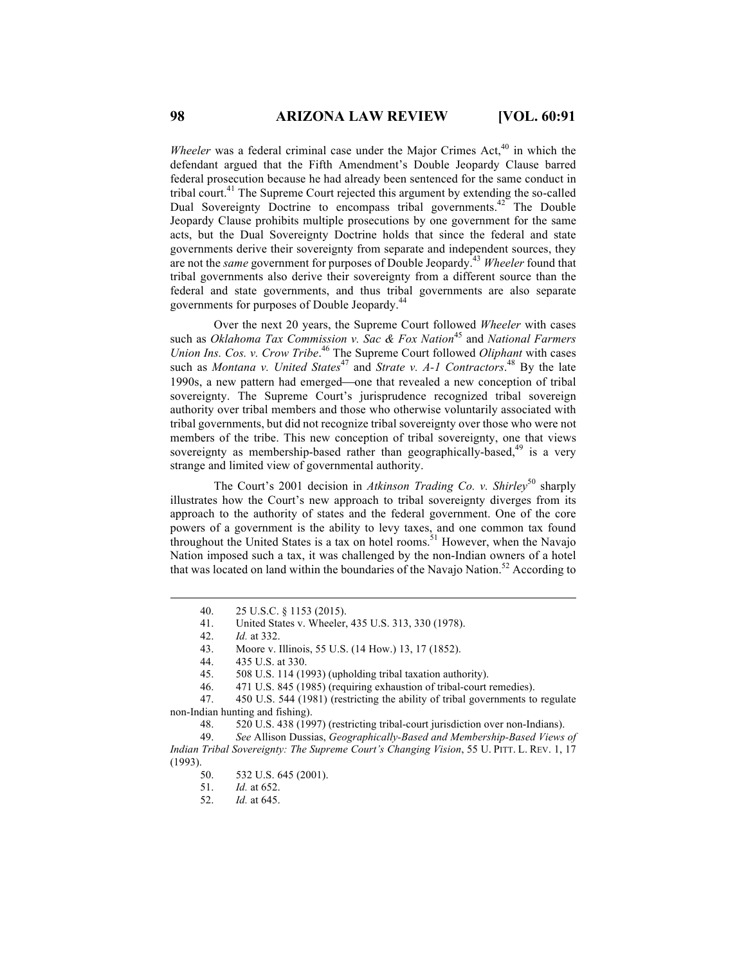*Wheeler* was a federal criminal case under the Major Crimes Act,<sup>40</sup> in which the defendant argued that the Fifth Amendment's Double Jeopardy Clause barred federal prosecution because he had already been sentenced for the same conduct in tribal court.41 The Supreme Court rejected this argument by extending the so-called Dual Sovereignty Doctrine to encompass tribal governments.<sup>42</sup> The Double Jeopardy Clause prohibits multiple prosecutions by one government for the same acts, but the Dual Sovereignty Doctrine holds that since the federal and state governments derive their sovereignty from separate and independent sources, they are not the *same* government for purposes of Double Jeopardy.43 *Wheeler* found that tribal governments also derive their sovereignty from a different source than the federal and state governments, and thus tribal governments are also separate governments for purposes of Double Jeopardy.44

Over the next 20 years, the Supreme Court followed *Wheeler* with cases such as *Oklahoma Tax Commission v. Sac & Fox Nation*<sup>45</sup> and *National Farmers Union Ins. Cos. v. Crow Tribe*. <sup>46</sup> The Supreme Court followed *Oliphant* with cases such as *Montana v. United States*<sup>47</sup> and *Strate v. A-1 Contractors*.<sup>48</sup> By the late 1990s, a new pattern had emerged—one that revealed a new conception of tribal sovereignty. The Supreme Court's jurisprudence recognized tribal sovereign authority over tribal members and those who otherwise voluntarily associated with tribal governments, but did not recognize tribal sovereignty over those who were not members of the tribe. This new conception of tribal sovereignty, one that views sovereignty as membership-based rather than geographically-based,<sup>49</sup> is a very strange and limited view of governmental authority.

The Court's 2001 decision in *Atkinson Trading Co. v. Shirley*<sup>50</sup> sharply illustrates how the Court's new approach to tribal sovereignty diverges from its approach to the authority of states and the federal government. One of the core powers of a government is the ability to levy taxes, and one common tax found throughout the United States is a tax on hotel rooms.<sup>51</sup> However, when the Navajo Nation imposed such a tax, it was challenged by the non-Indian owners of a hotel that was located on land within the boundaries of the Navajo Nation.<sup>52</sup> According to

52. *Id.* at 645.

 <sup>40.</sup> 25 U.S.C. § 1153 (2015).

<sup>41.</sup> United States v. Wheeler, 435 U.S. 313, 330 (1978).

<sup>42.</sup> *Id.* at 332.

<sup>43.</sup> Moore v. Illinois, 55 U.S. (14 How.) 13, 17 (1852).

<sup>44.</sup> 435 U.S. at 330.

<sup>45.</sup> 508 U.S. 114 (1993) (upholding tribal taxation authority).

<sup>46.</sup> 471 U.S. 845 (1985) (requiring exhaustion of tribal-court remedies).

<sup>47.</sup> 450 U.S. 544 (1981) (restricting the ability of tribal governments to regulate non-Indian hunting and fishing).

<sup>48.</sup> 520 U.S. 438 (1997) (restricting tribal-court jurisdiction over non-Indians).

<sup>49.</sup> *See* Allison Dussias, *Geographically-Based and Membership-Based Views of Indian Tribal Sovereignty: The Supreme Court's Changing Vision*, 55 U. PITT. L. REV. 1, 17 (1993).

<sup>50.</sup> 532 U.S. 645 (2001).

<sup>51.</sup> *Id.* at 652.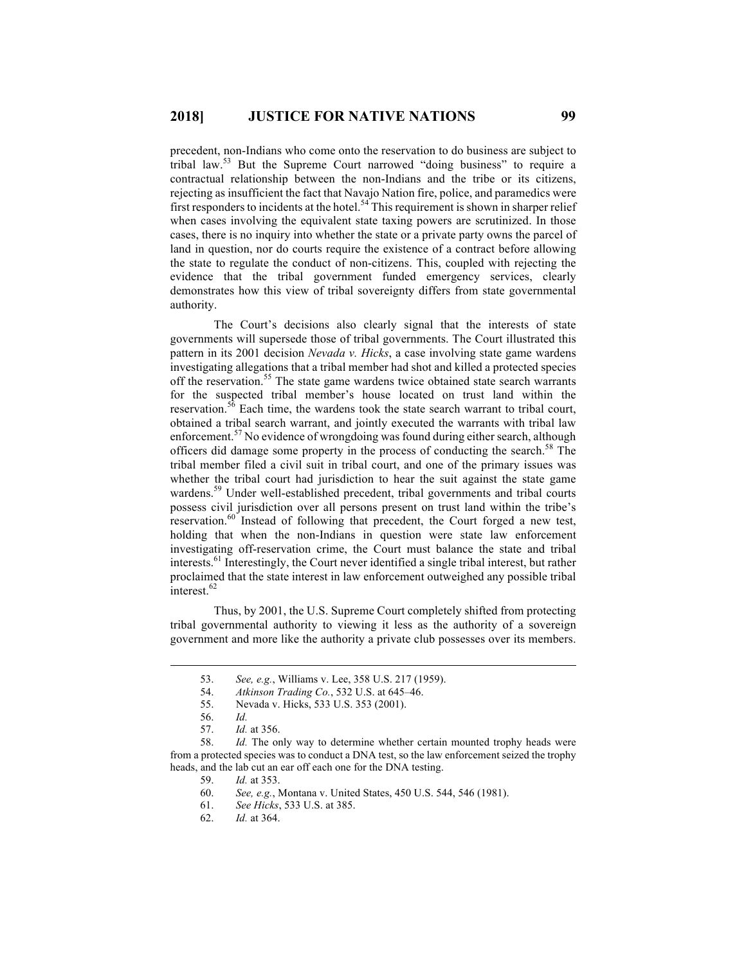precedent, non-Indians who come onto the reservation to do business are subject to tribal law.<sup>53</sup> But the Supreme Court narrowed "doing business" to require a contractual relationship between the non-Indians and the tribe or its citizens, rejecting as insufficient the fact that Navajo Nation fire, police, and paramedics were first responders to incidents at the hotel.<sup>54</sup> This requirement is shown in sharper relief when cases involving the equivalent state taxing powers are scrutinized. In those cases, there is no inquiry into whether the state or a private party owns the parcel of land in question, nor do courts require the existence of a contract before allowing the state to regulate the conduct of non-citizens. This, coupled with rejecting the evidence that the tribal government funded emergency services, clearly demonstrates how this view of tribal sovereignty differs from state governmental authority.

The Court's decisions also clearly signal that the interests of state governments will supersede those of tribal governments. The Court illustrated this pattern in its 2001 decision *Nevada v. Hicks*, a case involving state game wardens investigating allegations that a tribal member had shot and killed a protected species off the reservation.<sup>55</sup> The state game wardens twice obtained state search warrants for the suspected tribal member's house located on trust land within the reservation.<sup>56</sup> Each time, the wardens took the state search warrant to tribal court, obtained a tribal search warrant, and jointly executed the warrants with tribal law enforcement.<sup>57</sup> No evidence of wrongdoing was found during either search, although officers did damage some property in the process of conducting the search.<sup>58</sup> The tribal member filed a civil suit in tribal court, and one of the primary issues was whether the tribal court had jurisdiction to hear the suit against the state game wardens.<sup>59</sup> Under well-established precedent, tribal governments and tribal courts possess civil jurisdiction over all persons present on trust land within the tribe's reservation.<sup>60</sup> Instead of following that precedent, the Court forged a new test, holding that when the non-Indians in question were state law enforcement investigating off-reservation crime, the Court must balance the state and tribal interests.61 Interestingly, the Court never identified a single tribal interest, but rather proclaimed that the state interest in law enforcement outweighed any possible tribal interest.<sup>62</sup>

Thus, by 2001, the U.S. Supreme Court completely shifted from protecting tribal governmental authority to viewing it less as the authority of a sovereign government and more like the authority a private club possesses over its members.

62. *Id.* at 364.

 <sup>53.</sup> *See, e.g.*, Williams v. Lee, 358 U.S. 217 (1959).

<sup>54.</sup> *Atkinson Trading Co.*, 532 U.S. at 645–46.

<sup>55.</sup> Nevada v. Hicks, 533 U.S. 353 (2001).

<sup>56.</sup> *Id.*

<sup>57.</sup> *Id.* at 356.

<sup>58.</sup> *Id.* The only way to determine whether certain mounted trophy heads were from a protected species was to conduct a DNA test, so the law enforcement seized the trophy heads, and the lab cut an ear off each one for the DNA testing.

<sup>59.</sup> *Id.* at 353.

<sup>60.</sup> *See, e.g.*, Montana v. United States, 450 U.S. 544, 546 (1981).

<sup>61.</sup> *See Hicks*, 533 U.S. at 385.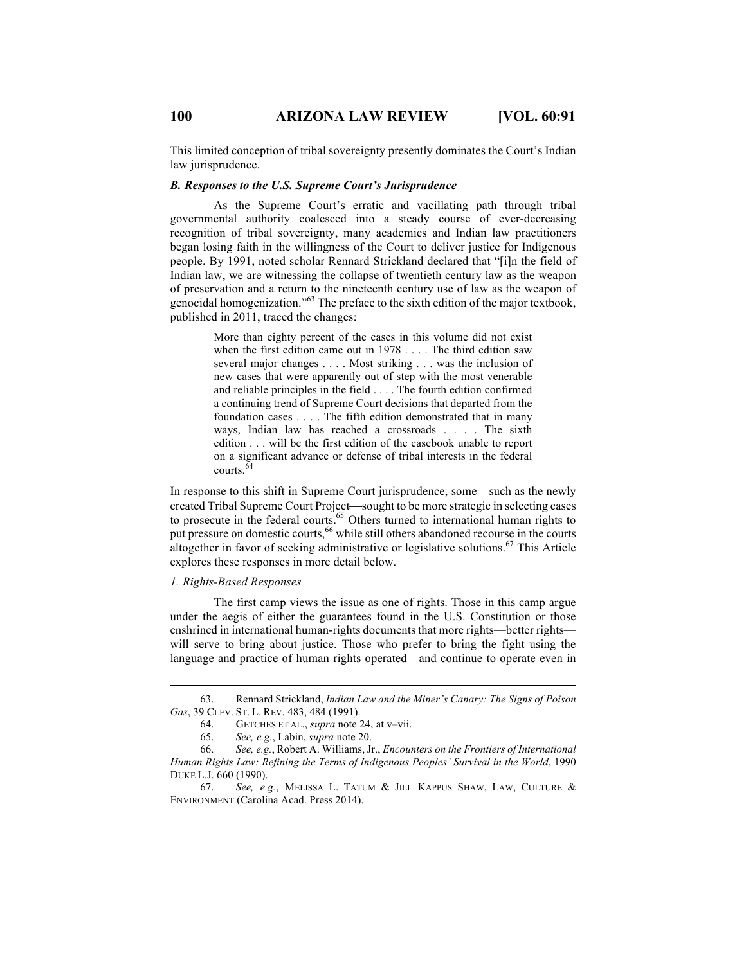This limited conception of tribal sovereignty presently dominates the Court's Indian law jurisprudence.

#### *B. Responses to the U.S. Supreme Court's Jurisprudence*

As the Supreme Court's erratic and vacillating path through tribal governmental authority coalesced into a steady course of ever-decreasing recognition of tribal sovereignty, many academics and Indian law practitioners began losing faith in the willingness of the Court to deliver justice for Indigenous people. By 1991, noted scholar Rennard Strickland declared that "[i]n the field of Indian law, we are witnessing the collapse of twentieth century law as the weapon of preservation and a return to the nineteenth century use of law as the weapon of genocidal homogenization." <sup>63</sup> The preface to the sixth edition of the major textbook, published in 2011, traced the changes:

> More than eighty percent of the cases in this volume did not exist when the first edition came out in 1978 . . . . The third edition saw several major changes . . . . Most striking . . . was the inclusion of new cases that were apparently out of step with the most venerable and reliable principles in the field . . . . The fourth edition confirmed a continuing trend of Supreme Court decisions that departed from the foundation cases . . . . The fifth edition demonstrated that in many ways, Indian law has reached a crossroads . . . . The sixth edition . . . will be the first edition of the casebook unable to report on a significant advance or defense of tribal interests in the federal courts.<sup>64</sup>

In response to this shift in Supreme Court jurisprudence, some—such as the newly created Tribal Supreme Court Project—sought to be more strategic in selecting cases to prosecute in the federal courts.<sup>65</sup> Others turned to international human rights to put pressure on domestic courts,<sup>66</sup> while still others abandoned recourse in the courts altogether in favor of seeking administrative or legislative solutions.<sup>67</sup> This Article explores these responses in more detail below.

### *1. Rights-Based Responses*

The first camp views the issue as one of rights. Those in this camp argue under the aegis of either the guarantees found in the U.S. Constitution or those enshrined in international human-rights documents that more rights—better rights will serve to bring about justice. Those who prefer to bring the fight using the language and practice of human rights operated—and continue to operate even in

 <sup>63.</sup> Rennard Strickland, *Indian Law and the Miner's Canary: The Signs of Poison Gas*, 39 CLEV. ST. L. REV. 483, 484 (1991).

<sup>64.</sup> GETCHES ET AL., *supra* note 24, at v–vii.

<sup>65.</sup> *See, e.g.*, Labin, *supra* note 20.

<sup>66.</sup> *See, e.g.*, Robert A. Williams, Jr., *Encounters on the Frontiers of International Human Rights Law: Refining the Terms of Indigenous Peoples' Survival in the World*, 1990 DUKE L.J. 660 (1990).

<sup>67.</sup> *See, e.g.*, MELISSA L. TATUM & JILL KAPPUS SHAW, LAW, CULTURE & ENVIRONMENT (Carolina Acad. Press 2014).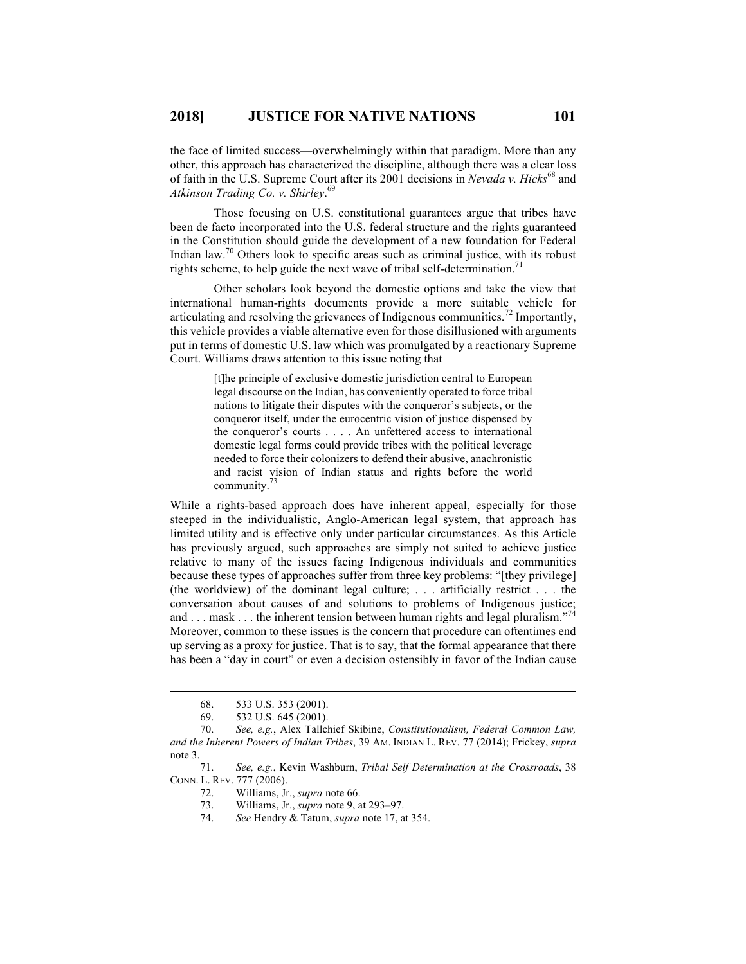the face of limited success—overwhelmingly within that paradigm. More than any other, this approach has characterized the discipline, although there was a clear loss of faith in the U.S. Supreme Court after its 2001 decisions in *Nevada v. Hicks*<sup>68</sup> and *Atkinson Trading Co. v. Shirley*. 69

Those focusing on U.S. constitutional guarantees argue that tribes have been de facto incorporated into the U.S. federal structure and the rights guaranteed in the Constitution should guide the development of a new foundation for Federal Indian law.<sup>70</sup> Others look to specific areas such as criminal justice, with its robust rights scheme, to help guide the next wave of tribal self-determination.<sup>71</sup>

Other scholars look beyond the domestic options and take the view that international human-rights documents provide a more suitable vehicle for articulating and resolving the grievances of Indigenous communities.<sup>72</sup> Importantly, this vehicle provides a viable alternative even for those disillusioned with arguments put in terms of domestic U.S. law which was promulgated by a reactionary Supreme Court. Williams draws attention to this issue noting that

> [t]he principle of exclusive domestic jurisdiction central to European legal discourse on the Indian, has conveniently operated to force tribal nations to litigate their disputes with the conqueror's subjects, or the conqueror itself, under the eurocentric vision of justice dispensed by the conqueror's courts . . . . An unfettered access to international domestic legal forms could provide tribes with the political leverage needed to force their colonizers to defend their abusive, anachronistic and racist vision of Indian status and rights before the world community. $\frac{73}{3}$

While a rights-based approach does have inherent appeal, especially for those steeped in the individualistic, Anglo-American legal system, that approach has limited utility and is effective only under particular circumstances. As this Article has previously argued, such approaches are simply not suited to achieve justice relative to many of the issues facing Indigenous individuals and communities because these types of approaches suffer from three key problems: "[they privilege] (the worldview) of the dominant legal culture; . . . artificially restrict . . . the conversation about causes of and solutions to problems of Indigenous justice; and . . . mask . . . the inherent tension between human rights and legal pluralism."<sup>74</sup> Moreover, common to these issues is the concern that procedure can oftentimes end up serving as a proxy for justice. That is to say, that the formal appearance that there has been a "day in court" or even a decision ostensibly in favor of the Indian cause

74. *See* Hendry & Tatum, *supra* note 17, at 354.

 <sup>68.</sup> 533 U.S. 353 (2001).

<sup>69.</sup> 532 U.S. 645 (2001).

<sup>70.</sup> *See, e.g.*, Alex Tallchief Skibine, *Constitutionalism, Federal Common Law, and the Inherent Powers of Indian Tribes*, 39 AM. INDIAN L. REV. 77 (2014); Frickey, *supra* note 3.

<sup>71.</sup> *See, e.g.*, Kevin Washburn, *Tribal Self Determination at the Crossroads*, 38 CONN. L. REV. 777 (2006).

<sup>72.</sup> Williams, Jr., *supra* note 66.

<sup>73.</sup> Williams, Jr., *supra* note 9, at 293–97.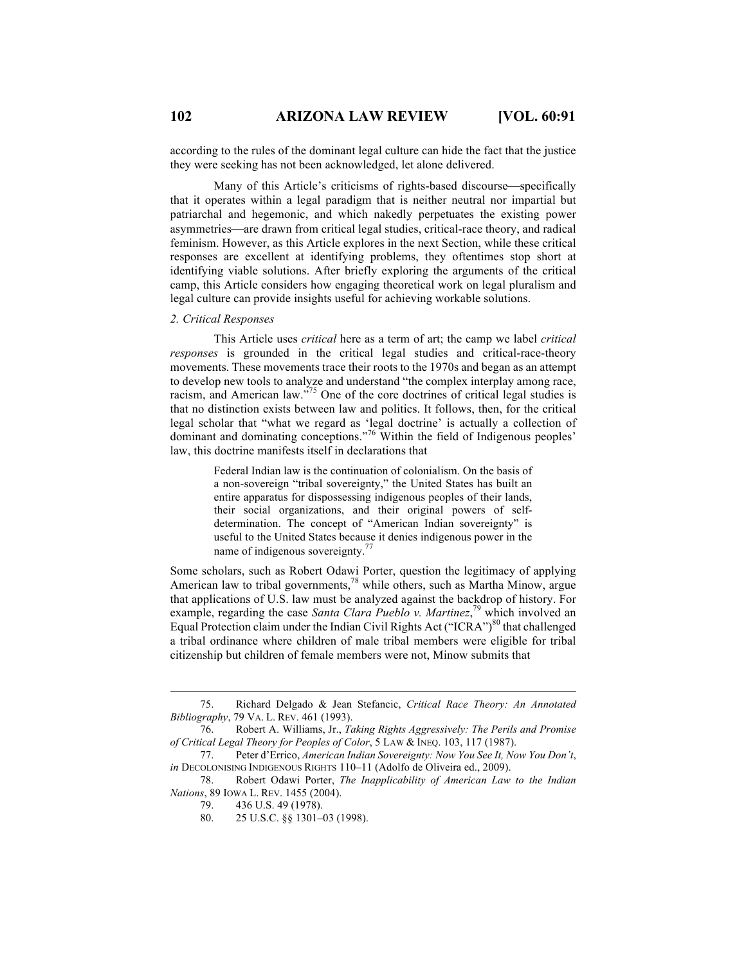according to the rules of the dominant legal culture can hide the fact that the justice they were seeking has not been acknowledged, let alone delivered.

Many of this Article's criticisms of rights-based discourse—specifically that it operates within a legal paradigm that is neither neutral nor impartial but patriarchal and hegemonic, and which nakedly perpetuates the existing power asymmetries—are drawn from critical legal studies, critical-race theory, and radical feminism. However, as this Article explores in the next Section, while these critical responses are excellent at identifying problems, they oftentimes stop short at identifying viable solutions. After briefly exploring the arguments of the critical camp, this Article considers how engaging theoretical work on legal pluralism and legal culture can provide insights useful for achieving workable solutions.

#### *2. Critical Responses*

This Article uses *critical* here as a term of art; the camp we label *critical responses* is grounded in the critical legal studies and critical-race-theory movements. These movements trace their roots to the 1970s and began as an attempt to develop new tools to analyze and understand "the complex interplay among race, racism, and American law."<sup>75</sup> One of the core doctrines of critical legal studies is that no distinction exists between law and politics. It follows, then, for the critical legal scholar that "what we regard as 'legal doctrine' is actually a collection of dominant and dominating conceptions."<sup>76</sup> Within the field of Indigenous peoples' law, this doctrine manifests itself in declarations that

> Federal Indian law is the continuation of colonialism. On the basis of a non-sovereign "tribal sovereignty," the United States has built an entire apparatus for dispossessing indigenous peoples of their lands, their social organizations, and their original powers of selfdetermination. The concept of "American Indian sovereignty" is useful to the United States because it denies indigenous power in the name of indigenous sovereignty.<sup>77</sup>

Some scholars, such as Robert Odawi Porter, question the legitimacy of applying American law to tribal governments,<sup>78</sup> while others, such as Martha Minow, argue that applications of U.S. law must be analyzed against the backdrop of history. For example, regarding the case *Santa Clara Pueblo v. Martinez*, <sup>79</sup> which involved an Equal Protection claim under the Indian Civil Rights Act ("ICRA")<sup>80</sup> that challenged a tribal ordinance where children of male tribal members were eligible for tribal citizenship but children of female members were not, Minow submits that

 <sup>75.</sup> Richard Delgado & Jean Stefancic, *Critical Race Theory: An Annotated Bibliography*, 79 VA. L. REV. 461 (1993).

<sup>76.</sup> Robert A. Williams, Jr., *Taking Rights Aggressively: The Perils and Promise of Critical Legal Theory for Peoples of Color*, 5 LAW & INEQ. 103, 117 (1987).

<sup>77.</sup> Peter d'Errico, *American Indian Sovereignty: Now You See It, Now You Don't*, *in* DECOLONISING INDIGENOUS RIGHTS 110-11 (Adolfo de Oliveira ed., 2009).

<sup>78.</sup> Robert Odawi Porter, *The Inapplicability of American Law to the Indian Nations*, 89 IOWA L. REV. 1455 (2004).

<sup>79.</sup> 436 U.S. 49 (1978).

<sup>80.</sup> 25 U.S.C. §§ 1301–03 (1998).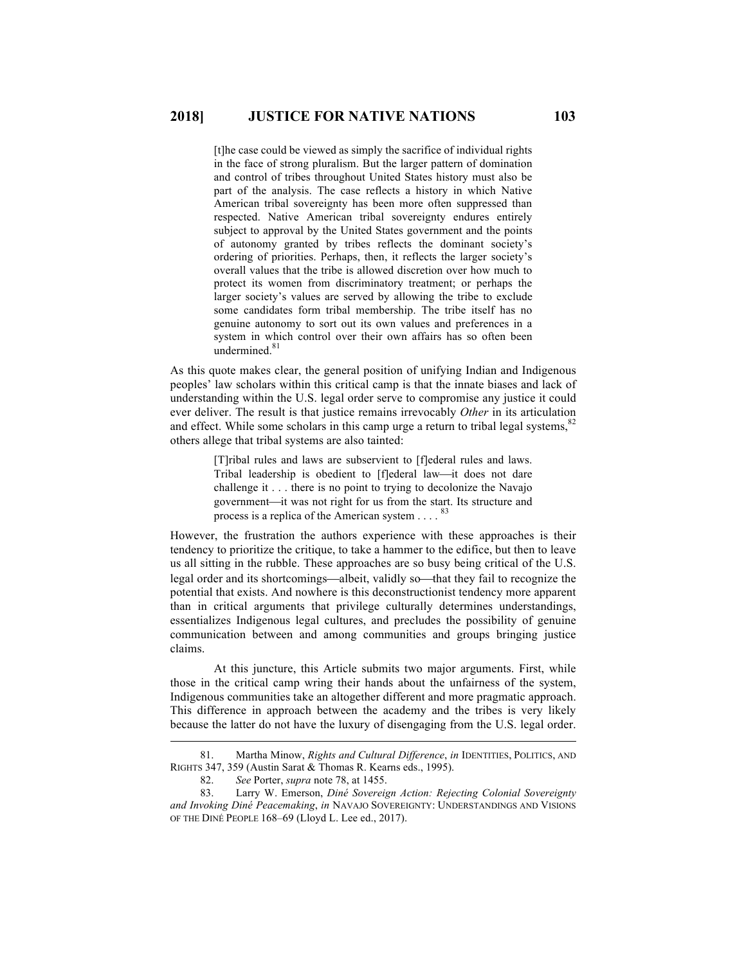[t]he case could be viewed as simply the sacrifice of individual rights in the face of strong pluralism. But the larger pattern of domination and control of tribes throughout United States history must also be part of the analysis. The case reflects a history in which Native American tribal sovereignty has been more often suppressed than respected. Native American tribal sovereignty endures entirely subject to approval by the United States government and the points of autonomy granted by tribes reflects the dominant society's ordering of priorities. Perhaps, then, it reflects the larger society's overall values that the tribe is allowed discretion over how much to protect its women from discriminatory treatment; or perhaps the larger society's values are served by allowing the tribe to exclude some candidates form tribal membership. The tribe itself has no genuine autonomy to sort out its own values and preferences in a system in which control over their own affairs has so often been undermined.<sup>81</sup>

As this quote makes clear, the general position of unifying Indian and Indigenous peoples' law scholars within this critical camp is that the innate biases and lack of understanding within the U.S. legal order serve to compromise any justice it could ever deliver. The result is that justice remains irrevocably *Other* in its articulation and effect. While some scholars in this camp urge a return to tribal legal systems,<sup>82</sup> others allege that tribal systems are also tainted:

> [T]ribal rules and laws are subservient to [f]ederal rules and laws. Tribal leadership is obedient to [f]ederal law-it does not dare challenge it . . . there is no point to trying to decolonize the Navajo government—it was not right for us from the start. Its structure and process is a replica of the American system  $\ldots$ . 83

However, the frustration the authors experience with these approaches is their tendency to prioritize the critique, to take a hammer to the edifice, but then to leave us all sitting in the rubble. These approaches are so busy being critical of the U.S. legal order and its shortcomings—albeit, validly so—that they fail to recognize the potential that exists. And nowhere is this deconstructionist tendency more apparent than in critical arguments that privilege culturally determines understandings, essentializes Indigenous legal cultures, and precludes the possibility of genuine communication between and among communities and groups bringing justice claims.

At this juncture, this Article submits two major arguments. First, while those in the critical camp wring their hands about the unfairness of the system, Indigenous communities take an altogether different and more pragmatic approach. This difference in approach between the academy and the tribes is very likely because the latter do not have the luxury of disengaging from the U.S. legal order.

 <sup>81.</sup> Martha Minow, *Rights and Cultural Difference*, *in* IDENTITIES, POLITICS, AND RIGHTS 347, 359 (Austin Sarat & Thomas R. Kearns eds., 1995).

<sup>82.</sup> *See* Porter, *supra* note 78, at 1455.

<sup>83.</sup> Larry W. Emerson, *Diné Sovereign Action: Rejecting Colonial Sovereignty and Invoking Diné Peacemaking*, *in* NAVAJO SOVEREIGNTY: UNDERSTANDINGS AND VISIONS OF THE DINÉ PEOPLE 168–69 (Lloyd L. Lee ed., 2017).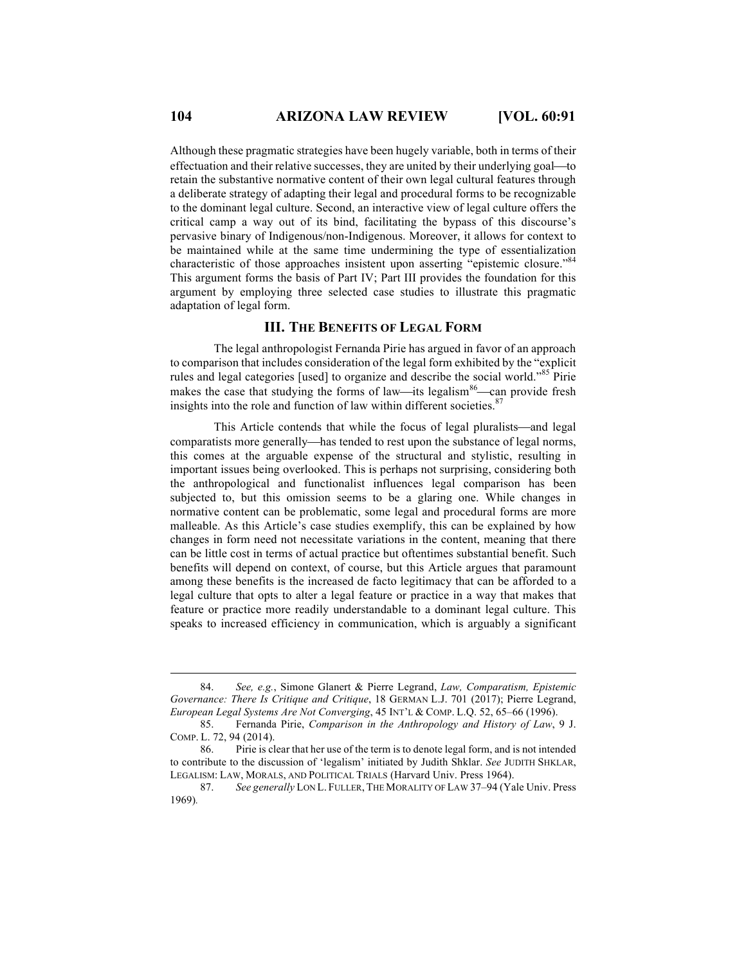Although these pragmatic strategies have been hugely variable, both in terms of their effectuation and their relative successes, they are united by their underlying goal—to retain the substantive normative content of their own legal cultural features through a deliberate strategy of adapting their legal and procedural forms to be recognizable to the dominant legal culture. Second, an interactive view of legal culture offers the critical camp a way out of its bind, facilitating the bypass of this discourse's pervasive binary of Indigenous/non-Indigenous. Moreover, it allows for context to be maintained while at the same time undermining the type of essentialization characteristic of those approaches insistent upon asserting "epistemic closure."<sup>84</sup> This argument forms the basis of Part IV; Part III provides the foundation for this argument by employing three selected case studies to illustrate this pragmatic adaptation of legal form.

# **III. THE BENEFITS OF LEGAL FORM**

The legal anthropologist Fernanda Pirie has argued in favor of an approach to comparison that includes consideration of the legal form exhibited by the "explicit rules and legal categories [used] to organize and describe the social world."<sup>85</sup> Pirie makes the case that studying the forms of law—its legalism<sup>86</sup>—can provide fresh insights into the role and function of law within different societies.<sup>87</sup>

This Article contends that while the focus of legal pluralists—and legal comparatists more generally—has tended to rest upon the substance of legal norms, this comes at the arguable expense of the structural and stylistic, resulting in important issues being overlooked. This is perhaps not surprising, considering both the anthropological and functionalist influences legal comparison has been subjected to, but this omission seems to be a glaring one. While changes in normative content can be problematic, some legal and procedural forms are more malleable. As this Article's case studies exemplify, this can be explained by how changes in form need not necessitate variations in the content, meaning that there can be little cost in terms of actual practice but oftentimes substantial benefit. Such benefits will depend on context, of course, but this Article argues that paramount among these benefits is the increased de facto legitimacy that can be afforded to a legal culture that opts to alter a legal feature or practice in a way that makes that feature or practice more readily understandable to a dominant legal culture. This speaks to increased efficiency in communication, which is arguably a significant

 <sup>84.</sup> *See, e.g.*, Simone Glanert & Pierre Legrand, *Law, Comparatism, Epistemic Governance: There Is Critique and Critique*, 18 GERMAN L.J. 701 (2017); Pierre Legrand, *European Legal Systems Are Not Converging*, 45 INT'L & COMP. L.Q. 52, 65–66 (1996).

<sup>85.</sup> Fernanda Pirie, *Comparison in the Anthropology and History of Law*, 9 J. COMP. L. 72, 94 (2014).

<sup>86.</sup> Pirie is clear that her use of the term is to denote legal form, and is not intended to contribute to the discussion of 'legalism' initiated by Judith Shklar. *See* JUDITH SHKLAR, LEGALISM: LAW, MORALS, AND POLITICAL TRIALS (Harvard Univ. Press 1964).

<sup>87.</sup> *See generally* LON L. FULLER, THE MORALITY OF LAW 37–94 (Yale Univ. Press 1969)*.*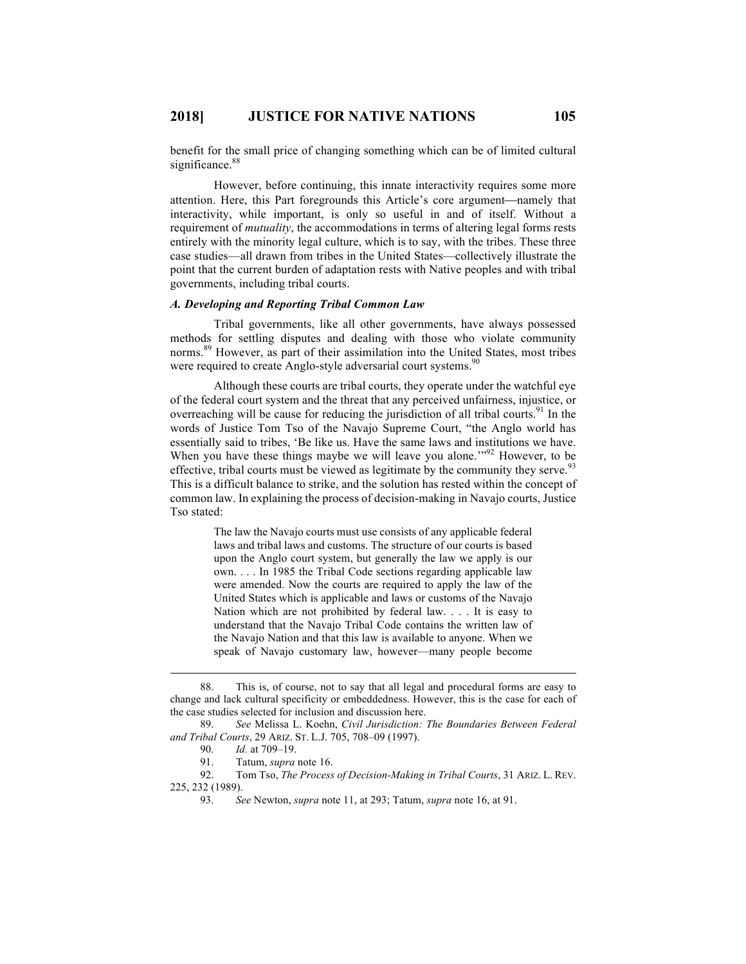benefit for the small price of changing something which can be of limited cultural significance.<sup>88</sup>

However, before continuing, this innate interactivity requires some more attention. Here, this Part foregrounds this Article's core argument—namely that interactivity, while important, is only so useful in and of itself. Without a requirement of *mutuality*, the accommodations in terms of altering legal forms rests entirely with the minority legal culture, which is to say, with the tribes. These three case studies—all drawn from tribes in the United States—collectively illustrate the point that the current burden of adaptation rests with Native peoples and with tribal governments, including tribal courts.

#### *A. Developing and Reporting Tribal Common Law*

Tribal governments, like all other governments, have always possessed methods for settling disputes and dealing with those who violate community norms.<sup>89</sup> However, as part of their assimilation into the United States, most tribes were required to create Anglo-style adversarial court systems.<sup>90</sup>

Although these courts are tribal courts, they operate under the watchful eye of the federal court system and the threat that any perceived unfairness, injustice, or overreaching will be cause for reducing the jurisdiction of all tribal courts.<sup>91</sup> In the words of Justice Tom Tso of the Navajo Supreme Court, "the Anglo world has essentially said to tribes, 'Be like us. Have the same laws and institutions we have. When you have these things maybe we will leave you alone."<sup>92</sup> However, to be effective, tribal courts must be viewed as legitimate by the community they serve.<sup>93</sup> This is a difficult balance to strike, and the solution has rested within the concept of common law. In explaining the process of decision-making in Navajo courts, Justice Tso stated:

> The law the Navajo courts must use consists of any applicable federal laws and tribal laws and customs. The structure of our courts is based upon the Anglo court system, but generally the law we apply is our own. . . . In 1985 the Tribal Code sections regarding applicable law were amended. Now the courts are required to apply the law of the United States which is applicable and laws or customs of the Navajo Nation which are not prohibited by federal law. . . . It is easy to understand that the Navajo Tribal Code contains the written law of the Navajo Nation and that this law is available to anyone. When we speak of Navajo customary law, however—many people become

 <sup>88.</sup> This is, of course, not to say that all legal and procedural forms are easy to change and lack cultural specificity or embeddedness. However, this is the case for each of the case studies selected for inclusion and discussion here.

<sup>89.</sup> *See* Melissa L. Koehn, *Civil Jurisdiction: The Boundaries Between Federal and Tribal Courts*, 29 ARIZ. ST. L.J. 705, 708–09 (1997).

<sup>90.</sup> *Id.* at 709–19.

<sup>91.</sup> Tatum, *supra* note 16.

<sup>92.</sup> Tom Tso, *The Process of Decision-Making in Tribal Courts*, 31 ARIZ. L. REV. 225, 232 (1989).

<sup>93.</sup> *See* Newton, *supra* note 11, at 293; Tatum, *supra* note 16, at 91.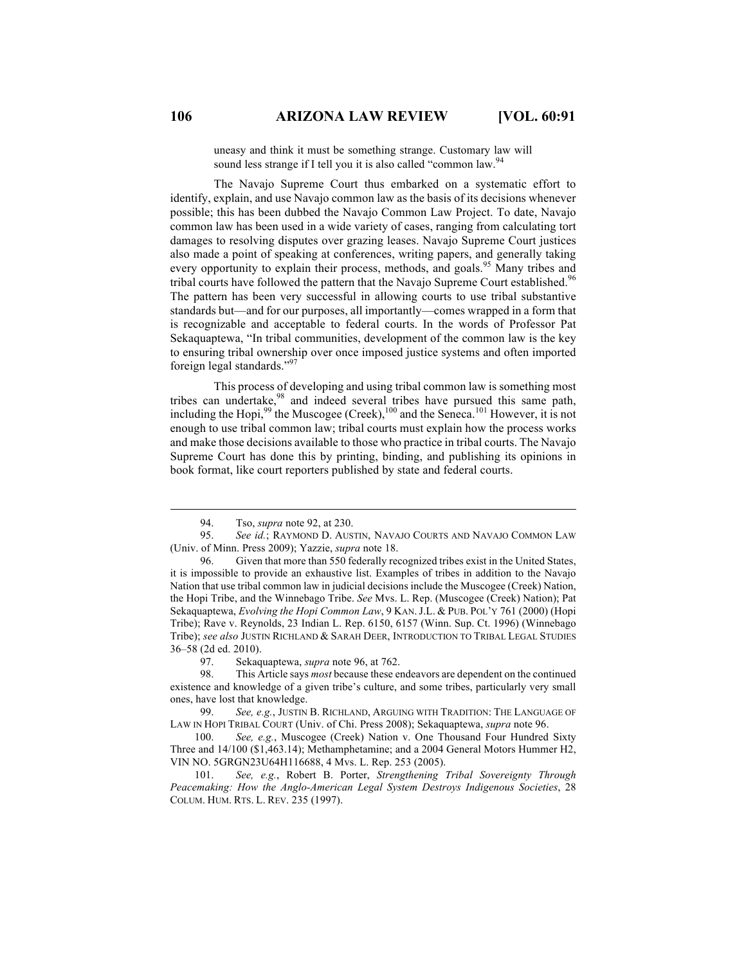uneasy and think it must be something strange. Customary law will sound less strange if I tell you it is also called "common law."

The Navajo Supreme Court thus embarked on a systematic effort to identify, explain, and use Navajo common law as the basis of its decisions whenever possible; this has been dubbed the Navajo Common Law Project. To date, Navajo common law has been used in a wide variety of cases, ranging from calculating tort damages to resolving disputes over grazing leases. Navajo Supreme Court justices also made a point of speaking at conferences, writing papers, and generally taking every opportunity to explain their process, methods, and goals.<sup>95</sup> Many tribes and tribal courts have followed the pattern that the Navajo Supreme Court established.<sup>96</sup> The pattern has been very successful in allowing courts to use tribal substantive standards but—and for our purposes, all importantly—comes wrapped in a form that is recognizable and acceptable to federal courts. In the words of Professor Pat Sekaquaptewa, "In tribal communities, development of the common law is the key to ensuring tribal ownership over once imposed justice systems and often imported foreign legal standards." 97

This process of developing and using tribal common law is something most tribes can undertake,<sup>98</sup> and indeed several tribes have pursued this same path, including the Hopi,  $99$  the Muscogee (Creek),  $100$  and the Seneca.<sup>101</sup> However, it is not enough to use tribal common law; tribal courts must explain how the process works and make those decisions available to those who practice in tribal courts. The Navajo Supreme Court has done this by printing, binding, and publishing its opinions in book format, like court reporters published by state and federal courts.

 <sup>94.</sup> Tso, *supra* note 92, at 230.

<sup>95.</sup> *See id.*; RAYMOND D. AUSTIN, NAVAJO COURTS AND NAVAJO COMMON LAW (Univ. of Minn. Press 2009); Yazzie, *supra* note 18.

<sup>96.</sup> Given that more than 550 federally recognized tribes exist in the United States, it is impossible to provide an exhaustive list. Examples of tribes in addition to the Navajo Nation that use tribal common law in judicial decisions include the Muscogee (Creek) Nation, the Hopi Tribe, and the Winnebago Tribe. *See* Mvs. L. Rep. (Muscogee (Creek) Nation); Pat Sekaquaptewa, *Evolving the Hopi Common Law*, 9 KAN.J.L. & PUB. POL'Y 761 (2000) (Hopi Tribe); Rave v. Reynolds, 23 Indian L. Rep. 6150, 6157 (Winn. Sup. Ct. 1996) (Winnebago Tribe); *see also* JUSTIN RICHLAND & SARAH DEER, INTRODUCTION TO TRIBAL LEGAL STUDIES 36–58 (2d ed. 2010).

<sup>97.</sup> Sekaquaptewa, *supra* note 96, at 762.

<sup>98.</sup> This Article says *most* because these endeavors are dependent on the continued existence and knowledge of a given tribe's culture, and some tribes, particularly very small ones, have lost that knowledge.

<sup>99.</sup> *See, e.g.*, JUSTIN B. RICHLAND, ARGUING WITH TRADITION: THE LANGUAGE OF LAW IN HOPI TRIBAL COURT (Univ. of Chi. Press 2008); Sekaquaptewa, *supra* note 96.

<sup>100.</sup> *See, e.g.*, Muscogee (Creek) Nation v. One Thousand Four Hundred Sixty Three and 14/100 (\$1,463.14); Methamphetamine; and a 2004 General Motors Hummer H2, VIN NO. 5GRGN23U64H116688, 4 Mvs. L. Rep. 253 (2005).

<sup>101.</sup> *See, e.g.*, Robert B. Porter, *Strengthening Tribal Sovereignty Through Peacemaking: How the Anglo-American Legal System Destroys Indigenous Societies*, 28 COLUM. HUM. RTS. L. REV. 235 (1997).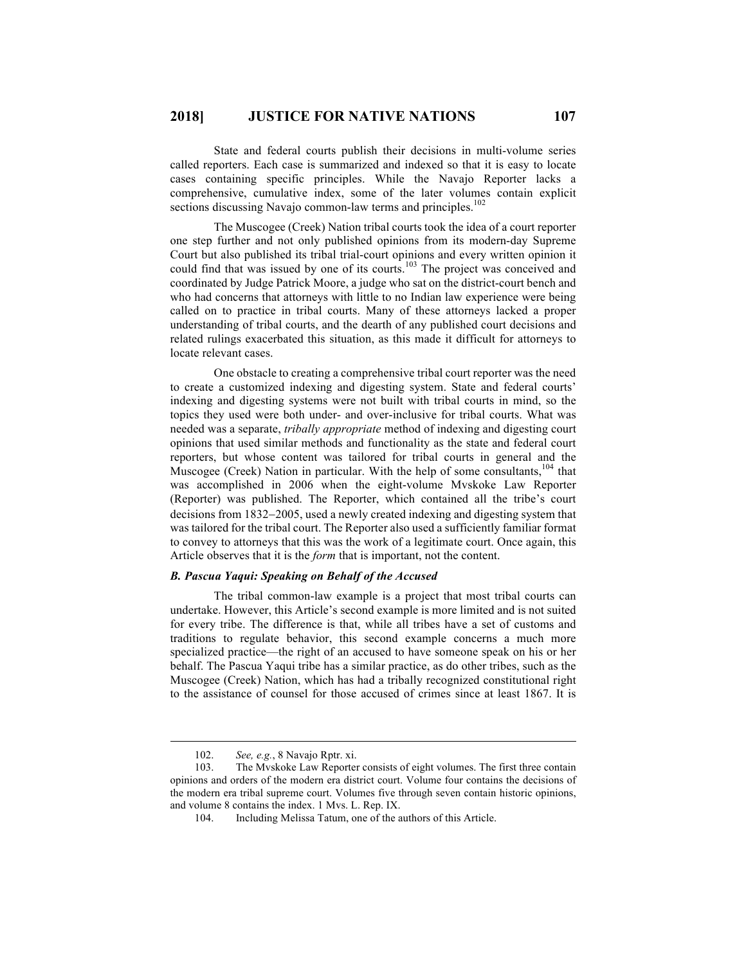State and federal courts publish their decisions in multi-volume series called reporters. Each case is summarized and indexed so that it is easy to locate cases containing specific principles. While the Navajo Reporter lacks a comprehensive, cumulative index, some of the later volumes contain explicit sections discussing Navajo common-law terms and principles.<sup>102</sup>

The Muscogee (Creek) Nation tribal courts took the idea of a court reporter one step further and not only published opinions from its modern-day Supreme Court but also published its tribal trial-court opinions and every written opinion it could find that was issued by one of its courts.<sup>103</sup> The project was conceived and coordinated by Judge Patrick Moore, a judge who sat on the district-court bench and who had concerns that attorneys with little to no Indian law experience were being called on to practice in tribal courts. Many of these attorneys lacked a proper understanding of tribal courts, and the dearth of any published court decisions and related rulings exacerbated this situation, as this made it difficult for attorneys to locate relevant cases.

One obstacle to creating a comprehensive tribal court reporter was the need to create a customized indexing and digesting system. State and federal courts' indexing and digesting systems were not built with tribal courts in mind, so the topics they used were both under- and over-inclusive for tribal courts. What was needed was a separate, *tribally appropriate* method of indexing and digesting court opinions that used similar methods and functionality as the state and federal court reporters, but whose content was tailored for tribal courts in general and the Muscogee (Creek) Nation in particular. With the help of some consultants,  $104$  that was accomplished in 2006 when the eight-volume Mvskoke Law Reporter (Reporter) was published. The Reporter, which contained all the tribe's court decisions from 1832-2005, used a newly created indexing and digesting system that was tailored for the tribal court. The Reporter also used a sufficiently familiar format to convey to attorneys that this was the work of a legitimate court. Once again, this Article observes that it is the *form* that is important, not the content.

# *B. Pascua Yaqui: Speaking on Behalf of the Accused*

The tribal common-law example is a project that most tribal courts can undertake. However, this Article's second example is more limited and is not suited for every tribe. The difference is that, while all tribes have a set of customs and traditions to regulate behavior, this second example concerns a much more specialized practice—the right of an accused to have someone speak on his or her behalf. The Pascua Yaqui tribe has a similar practice, as do other tribes, such as the Muscogee (Creek) Nation, which has had a tribally recognized constitutional right to the assistance of counsel for those accused of crimes since at least 1867. It is

 <sup>102.</sup> *See, e.g.*, 8 Navajo Rptr. xi.

<sup>103.</sup> The Mvskoke Law Reporter consists of eight volumes. The first three contain opinions and orders of the modern era district court. Volume four contains the decisions of the modern era tribal supreme court. Volumes five through seven contain historic opinions, and volume 8 contains the index. 1 Mvs. L. Rep. IX.

<sup>104.</sup> Including Melissa Tatum, one of the authors of this Article.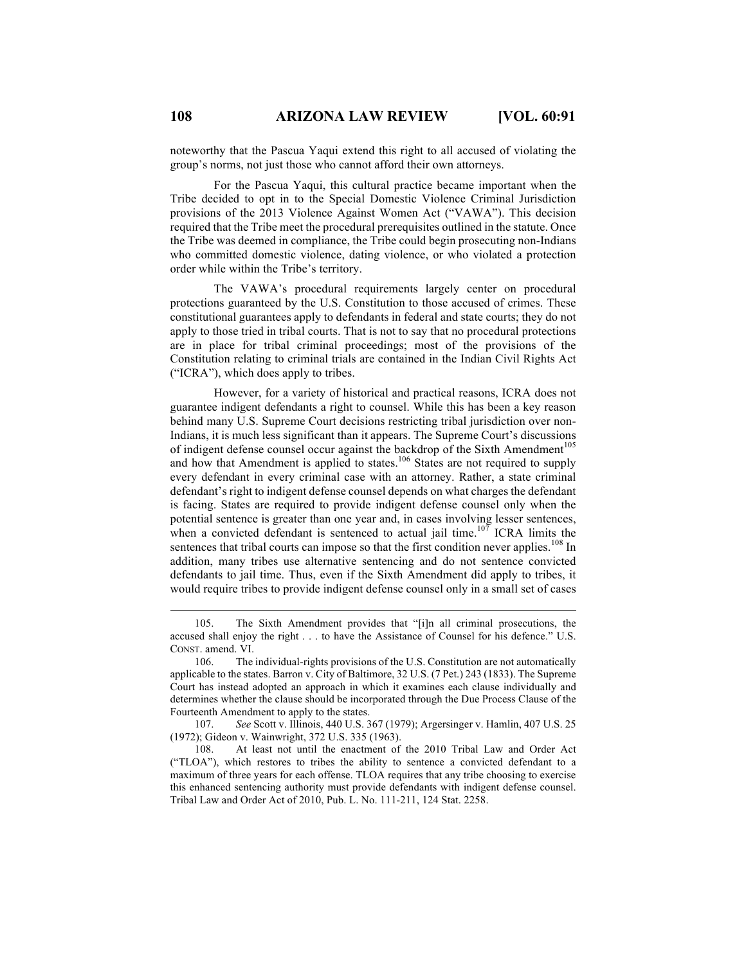noteworthy that the Pascua Yaqui extend this right to all accused of violating the group's norms, not just those who cannot afford their own attorneys.

For the Pascua Yaqui, this cultural practice became important when the Tribe decided to opt in to the Special Domestic Violence Criminal Jurisdiction provisions of the 2013 Violence Against Women Act ("VAWA"). This decision required that the Tribe meet the procedural prerequisites outlined in the statute. Once the Tribe was deemed in compliance, the Tribe could begin prosecuting non-Indians who committed domestic violence, dating violence, or who violated a protection order while within the Tribe's territory.

The VAWA's procedural requirements largely center on procedural protections guaranteed by the U.S. Constitution to those accused of crimes. These constitutional guarantees apply to defendants in federal and state courts; they do not apply to those tried in tribal courts. That is not to say that no procedural protections are in place for tribal criminal proceedings; most of the provisions of the Constitution relating to criminal trials are contained in the Indian Civil Rights Act ("ICRA"), which does apply to tribes.

However, for a variety of historical and practical reasons, ICRA does not guarantee indigent defendants a right to counsel. While this has been a key reason behind many U.S. Supreme Court decisions restricting tribal jurisdiction over non-Indians, it is much less significant than it appears. The Supreme Court's discussions of indigent defense counsel occur against the backdrop of the Sixth Amendment<sup>105</sup> and how that Amendment is applied to states.<sup>106</sup> States are not required to supply every defendant in every criminal case with an attorney. Rather, a state criminal defendant's right to indigent defense counsel depends on what charges the defendant is facing. States are required to provide indigent defense counsel only when the potential sentence is greater than one year and, in cases involving lesser sentences, when a convicted defendant is sentenced to actual jail time.<sup>107</sup> ICRA limits the sentences that tribal courts can impose so that the first condition never applies.<sup>108</sup> In addition, many tribes use alternative sentencing and do not sentence convicted defendants to jail time. Thus, even if the Sixth Amendment did apply to tribes, it would require tribes to provide indigent defense counsel only in a small set of cases

 <sup>105.</sup> The Sixth Amendment provides that "[i]n all criminal prosecutions, the accused shall enjoy the right . . . to have the Assistance of Counsel for his defence." U.S. CONST. amend. VI.

<sup>106.</sup> The individual-rights provisions of the U.S. Constitution are not automatically applicable to the states. Barron v. City of Baltimore, 32 U.S. (7 Pet.) 243 (1833). The Supreme Court has instead adopted an approach in which it examines each clause individually and determines whether the clause should be incorporated through the Due Process Clause of the Fourteenth Amendment to apply to the states.

<sup>107.</sup> *See* Scott v. Illinois, 440 U.S. 367 (1979); Argersinger v. Hamlin, 407 U.S. 25 (1972); Gideon v. Wainwright, 372 U.S. 335 (1963).

<sup>108.</sup> At least not until the enactment of the 2010 Tribal Law and Order Act ("TLOA"), which restores to tribes the ability to sentence a convicted defendant to a maximum of three years for each offense. TLOA requires that any tribe choosing to exercise this enhanced sentencing authority must provide defendants with indigent defense counsel. Tribal Law and Order Act of 2010, Pub. L. No. 111-211, 124 Stat. 2258.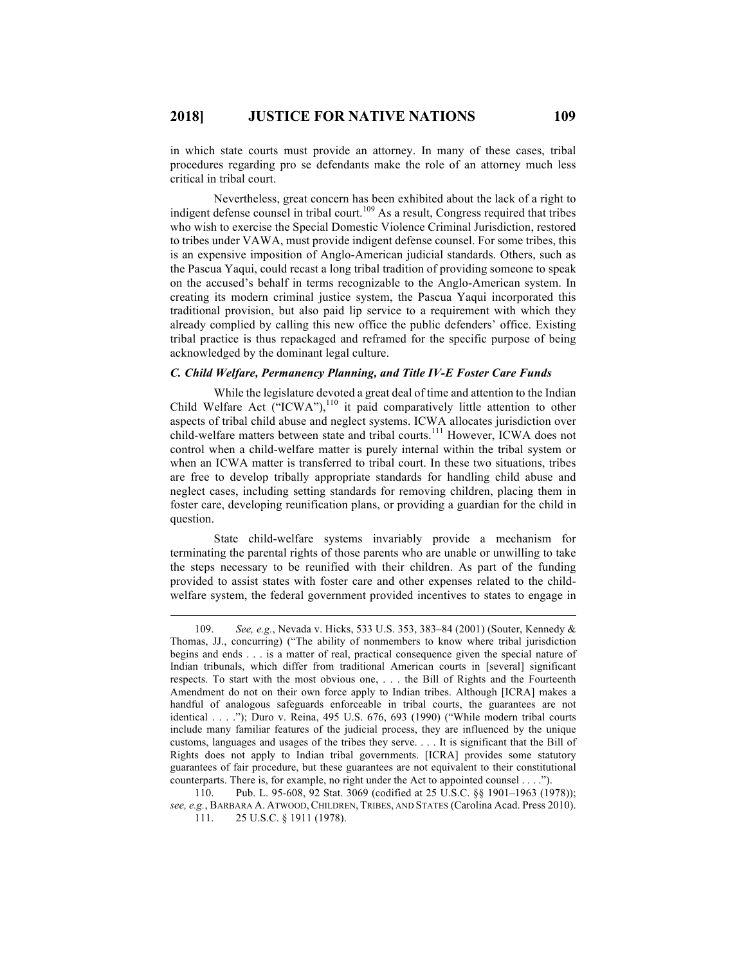in which state courts must provide an attorney. In many of these cases, tribal procedures regarding pro se defendants make the role of an attorney much less critical in tribal court.

Nevertheless, great concern has been exhibited about the lack of a right to indigent defense counsel in tribal court.<sup>109</sup> As a result, Congress required that tribes who wish to exercise the Special Domestic Violence Criminal Jurisdiction, restored to tribes under VAWA, must provide indigent defense counsel. For some tribes, this is an expensive imposition of Anglo-American judicial standards. Others, such as the Pascua Yaqui, could recast a long tribal tradition of providing someone to speak on the accused's behalf in terms recognizable to the Anglo-American system. In creating its modern criminal justice system, the Pascua Yaqui incorporated this traditional provision, but also paid lip service to a requirement with which they already complied by calling this new office the public defenders' office. Existing tribal practice is thus repackaged and reframed for the specific purpose of being acknowledged by the dominant legal culture.

#### *C. Child Welfare, Permanency Planning, and Title IV-E Foster Care Funds*

While the legislature devoted a great deal of time and attention to the Indian Child Welfare Act ("ICWA"),<sup>110</sup> it paid comparatively little attention to other aspects of tribal child abuse and neglect systems. ICWA allocates jurisdiction over child-welfare matters between state and tribal courts.<sup>111</sup> However, ICWA does not control when a child-welfare matter is purely internal within the tribal system or when an ICWA matter is transferred to tribal court. In these two situations, tribes are free to develop tribally appropriate standards for handling child abuse and neglect cases, including setting standards for removing children, placing them in foster care, developing reunification plans, or providing a guardian for the child in question.

State child-welfare systems invariably provide a mechanism for terminating the parental rights of those parents who are unable or unwilling to take the steps necessary to be reunified with their children. As part of the funding provided to assist states with foster care and other expenses related to the childwelfare system, the federal government provided incentives to states to engage in

 <sup>109.</sup> *See, e.g.*, Nevada v. Hicks, 533 U.S. 353, 383–84 (2001) (Souter, Kennedy & Thomas, JJ., concurring) ("The ability of nonmembers to know where tribal jurisdiction begins and ends . . . is a matter of real, practical consequence given the special nature of Indian tribunals, which differ from traditional American courts in [several] significant respects. To start with the most obvious one, . . . the Bill of Rights and the Fourteenth Amendment do not on their own force apply to Indian tribes. Although [ICRA] makes a handful of analogous safeguards enforceable in tribal courts, the guarantees are not identical . . . ."); Duro v. Reina, 495 U.S. 676, 693 (1990) ("While modern tribal courts include many familiar features of the judicial process, they are influenced by the unique customs, languages and usages of the tribes they serve. . . . It is significant that the Bill of Rights does not apply to Indian tribal governments. [ICRA] provides some statutory guarantees of fair procedure, but these guarantees are not equivalent to their constitutional counterparts. There is, for example, no right under the Act to appointed counsel . . . .").

<sup>110.</sup> Pub. L. 95-608, 92 Stat. 3069 (codified at 25 U.S.C. §§ 1901–1963 (1978)); *see, e.g.*, BARBARA A. ATWOOD,CHILDREN, TRIBES, AND STATES (Carolina Acad. Press 2010). 111. 25 U.S.C. § 1911 (1978).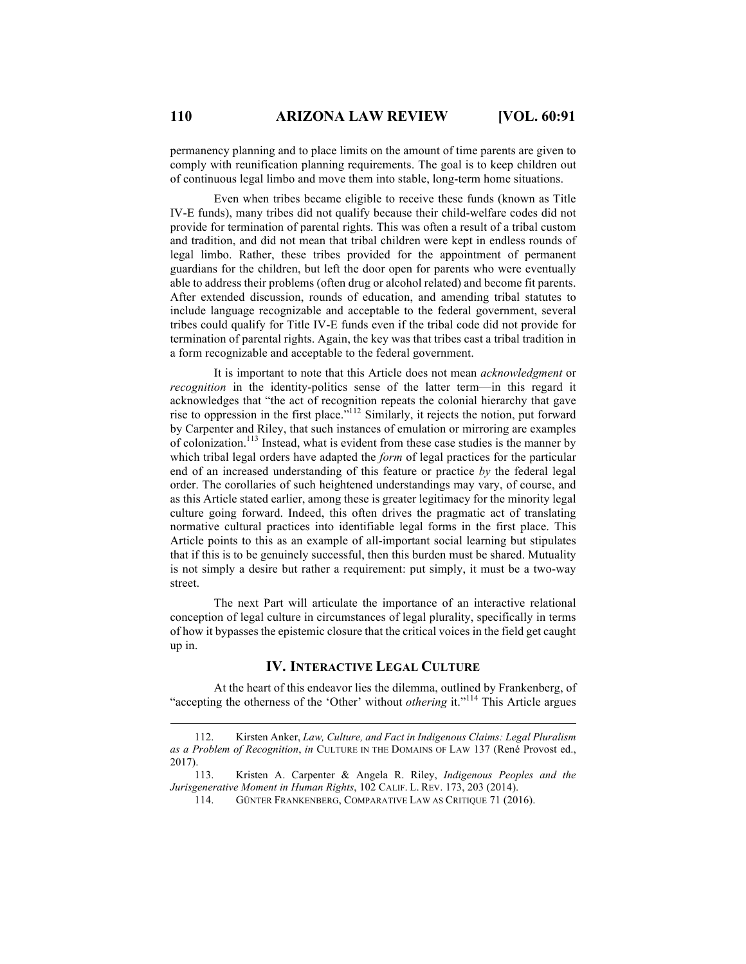permanency planning and to place limits on the amount of time parents are given to comply with reunification planning requirements. The goal is to keep children out of continuous legal limbo and move them into stable, long-term home situations.

Even when tribes became eligible to receive these funds (known as Title IV-E funds), many tribes did not qualify because their child-welfare codes did not provide for termination of parental rights. This was often a result of a tribal custom and tradition, and did not mean that tribal children were kept in endless rounds of legal limbo. Rather, these tribes provided for the appointment of permanent guardians for the children, but left the door open for parents who were eventually able to address their problems (often drug or alcohol related) and become fit parents. After extended discussion, rounds of education, and amending tribal statutes to include language recognizable and acceptable to the federal government, several tribes could qualify for Title IV-E funds even if the tribal code did not provide for termination of parental rights. Again, the key was that tribes cast a tribal tradition in a form recognizable and acceptable to the federal government.

It is important to note that this Article does not mean *acknowledgment* or *recognition* in the identity-politics sense of the latter term—in this regard it acknowledges that "the act of recognition repeats the colonial hierarchy that gave rise to oppression in the first place." <sup>112</sup> Similarly, it rejects the notion, put forward by Carpenter and Riley, that such instances of emulation or mirroring are examples of colonization.113 Instead, what is evident from these case studies is the manner by which tribal legal orders have adapted the *form* of legal practices for the particular end of an increased understanding of this feature or practice *by* the federal legal order. The corollaries of such heightened understandings may vary, of course, and as this Article stated earlier, among these is greater legitimacy for the minority legal culture going forward. Indeed, this often drives the pragmatic act of translating normative cultural practices into identifiable legal forms in the first place. This Article points to this as an example of all-important social learning but stipulates that if this is to be genuinely successful, then this burden must be shared. Mutuality is not simply a desire but rather a requirement: put simply, it must be a two-way street.

The next Part will articulate the importance of an interactive relational conception of legal culture in circumstances of legal plurality, specifically in terms of how it bypasses the epistemic closure that the critical voices in the field get caught up in.

# **IV. INTERACTIVE LEGAL CULTURE**

At the heart of this endeavor lies the dilemma, outlined by Frankenberg, of "accepting the otherness of the 'Other' without *othering* it."<sup>114</sup> This Article argues

 <sup>112.</sup> Kirsten Anker, *Law, Culture, and Fact in Indigenous Claims: Legal Pluralism as a Problem of Recognition*, *in* CULTURE IN THE DOMAINS OF LAW 137 (René Provost ed., 2017).

<sup>113.</sup> Kristen A. Carpenter & Angela R. Riley, *Indigenous Peoples and the Jurisgenerative Moment in Human Rights*, 102 CALIF. L. REV. 173, 203 (2014).

<sup>114.</sup> GÜNTER FRANKENBERG, COMPARATIVE LAW AS CRITIQUE 71 (2016).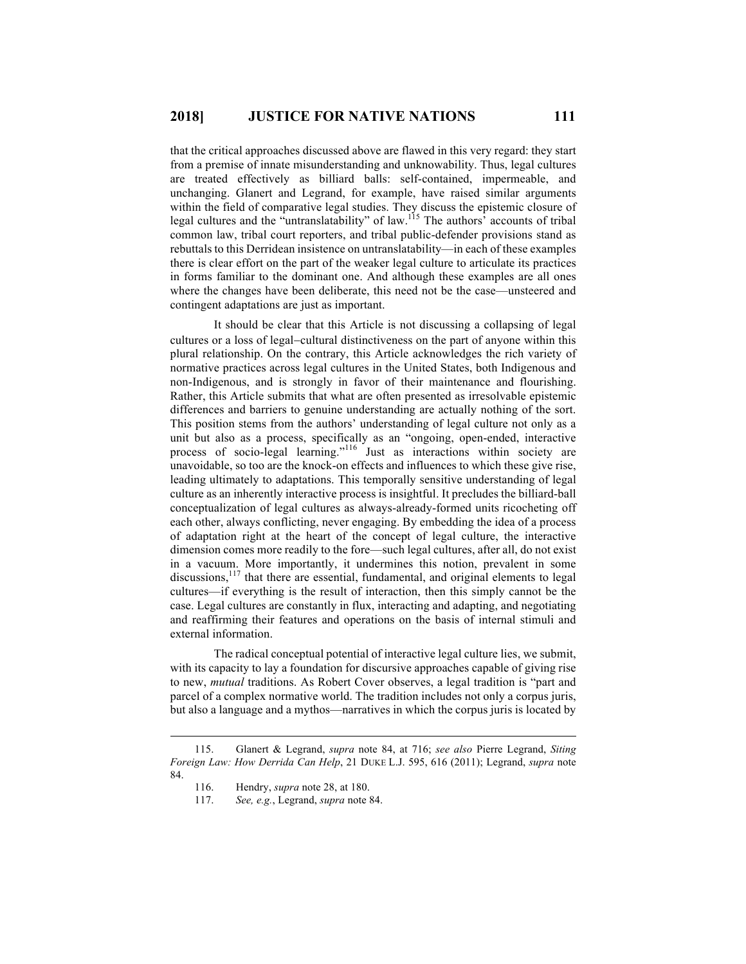that the critical approaches discussed above are flawed in this very regard: they start from a premise of innate misunderstanding and unknowability. Thus, legal cultures are treated effectively as billiard balls: self-contained, impermeable, and unchanging. Glanert and Legrand, for example, have raised similar arguments within the field of comparative legal studies. They discuss the epistemic closure of legal cultures and the "untranslatability" of law.<sup>115</sup> The authors' accounts of tribal common law, tribal court reporters, and tribal public-defender provisions stand as rebuttals to this Derridean insistence on untranslatability—in each of these examples there is clear effort on the part of the weaker legal culture to articulate its practices in forms familiar to the dominant one. And although these examples are all ones where the changes have been deliberate, this need not be the case—unsteered and contingent adaptations are just as important.

It should be clear that this Article is not discussing a collapsing of legal cultures or a loss of legal-cultural distinctiveness on the part of anyone within this plural relationship. On the contrary, this Article acknowledges the rich variety of normative practices across legal cultures in the United States, both Indigenous and non-Indigenous, and is strongly in favor of their maintenance and flourishing. Rather, this Article submits that what are often presented as irresolvable epistemic differences and barriers to genuine understanding are actually nothing of the sort. This position stems from the authors' understanding of legal culture not only as a unit but also as a process, specifically as an "ongoing, open-ended, interactive process of socio-legal learning."<sup>116</sup> Just as interactions within society are unavoidable, so too are the knock-on effects and influences to which these give rise, leading ultimately to adaptations. This temporally sensitive understanding of legal culture as an inherently interactive process is insightful. It precludes the billiard-ball conceptualization of legal cultures as always-already-formed units ricocheting off each other, always conflicting, never engaging. By embedding the idea of a process of adaptation right at the heart of the concept of legal culture, the interactive dimension comes more readily to the fore—such legal cultures, after all, do not exist in a vacuum. More importantly, it undermines this notion, prevalent in some discussions,<sup>117</sup> that there are essential, fundamental, and original elements to legal cultures—if everything is the result of interaction, then this simply cannot be the case. Legal cultures are constantly in flux, interacting and adapting, and negotiating and reaffirming their features and operations on the basis of internal stimuli and external information.

The radical conceptual potential of interactive legal culture lies, we submit, with its capacity to lay a foundation for discursive approaches capable of giving rise to new, *mutual* traditions. As Robert Cover observes, a legal tradition is "part and parcel of a complex normative world. The tradition includes not only a corpus juris, but also a language and a mythos—narratives in which the corpus juris is located by

 <sup>115.</sup> Glanert & Legrand, *supra* note 84, at 716; *see also* Pierre Legrand, *Siting Foreign Law: How Derrida Can Help*, 21 DUKE L.J. 595, 616 (2011); Legrand, *supra* note 84.

<sup>116.</sup> Hendry, *supra* note 28, at 180.

<sup>117.</sup> *See, e.g.*, Legrand, *supra* note 84.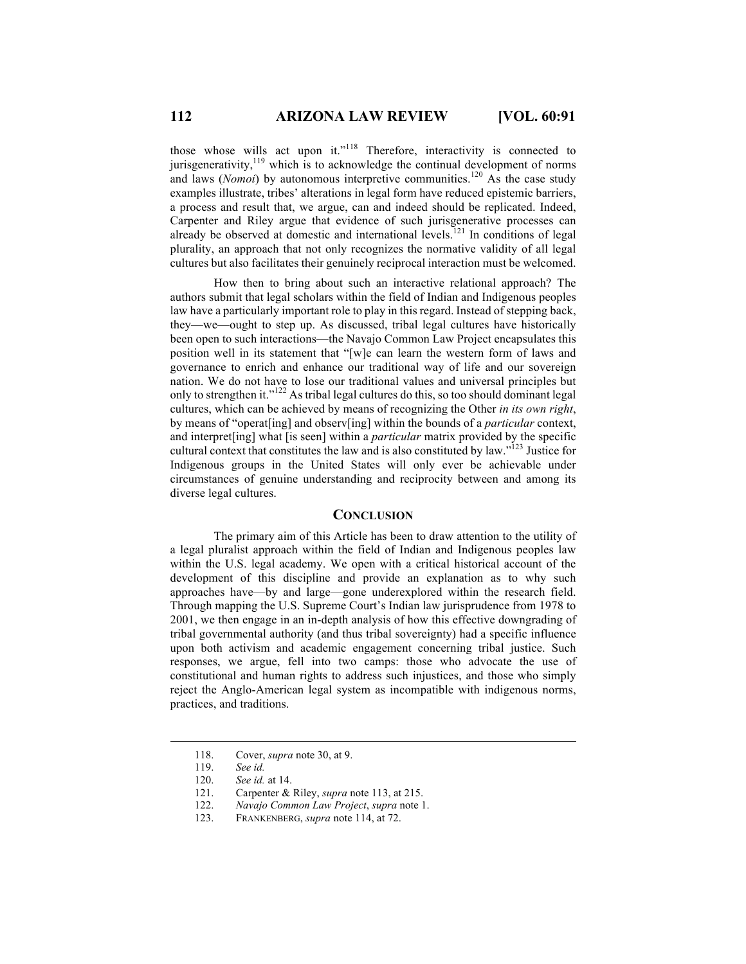those whose wills act upon it."<sup>118</sup> Therefore, interactivity is connected to jurisgenerativity, $119$  which is to acknowledge the continual development of norms and laws (*Nomoi*) by autonomous interpretive communities.<sup>120</sup> As the case study examples illustrate, tribes' alterations in legal form have reduced epistemic barriers, a process and result that, we argue, can and indeed should be replicated. Indeed, Carpenter and Riley argue that evidence of such jurisgenerative processes can already be observed at domestic and international levels.<sup>121</sup> In conditions of legal plurality, an approach that not only recognizes the normative validity of all legal cultures but also facilitates their genuinely reciprocal interaction must be welcomed.

How then to bring about such an interactive relational approach? The authors submit that legal scholars within the field of Indian and Indigenous peoples law have a particularly important role to play in this regard. Instead of stepping back, they—we—ought to step up. As discussed, tribal legal cultures have historically been open to such interactions—the Navajo Common Law Project encapsulates this position well in its statement that "[w]e can learn the western form of laws and governance to enrich and enhance our traditional way of life and our sovereign nation. We do not have to lose our traditional values and universal principles but only to strengthen it."<sup>122</sup> As tribal legal cultures do this, so too should dominant legal cultures, which can be achieved by means of recognizing the Other *in its own right*, by means of "operat[ing] and observ[ing] within the bounds of a *particular* context, and interpret[ing] what [is seen] within a *particular* matrix provided by the specific cultural context that constitutes the law and is also constituted by law."<sup>123</sup> Justice for Indigenous groups in the United States will only ever be achievable under circumstances of genuine understanding and reciprocity between and among its diverse legal cultures.

# **CONCLUSION**

The primary aim of this Article has been to draw attention to the utility of a legal pluralist approach within the field of Indian and Indigenous peoples law within the U.S. legal academy. We open with a critical historical account of the development of this discipline and provide an explanation as to why such approaches have—by and large—gone underexplored within the research field. Through mapping the U.S. Supreme Court's Indian law jurisprudence from 1978 to 2001, we then engage in an in-depth analysis of how this effective downgrading of tribal governmental authority (and thus tribal sovereignty) had a specific influence upon both activism and academic engagement concerning tribal justice. Such responses, we argue, fell into two camps: those who advocate the use of constitutional and human rights to address such injustices, and those who simply reject the Anglo-American legal system as incompatible with indigenous norms, practices, and traditions.

 <sup>118.</sup> Cover, *supra* note 30, at 9.

<sup>119.</sup> *See id.*

<sup>120.</sup> *See id.* at 14.

<sup>121.</sup> Carpenter & Riley, *supra* note 113, at 215.

<sup>122.</sup> *Navajo Common Law Project*, *supra* note 1.

<sup>123.</sup> FRANKENBERG, *supra* note 114, at 72.